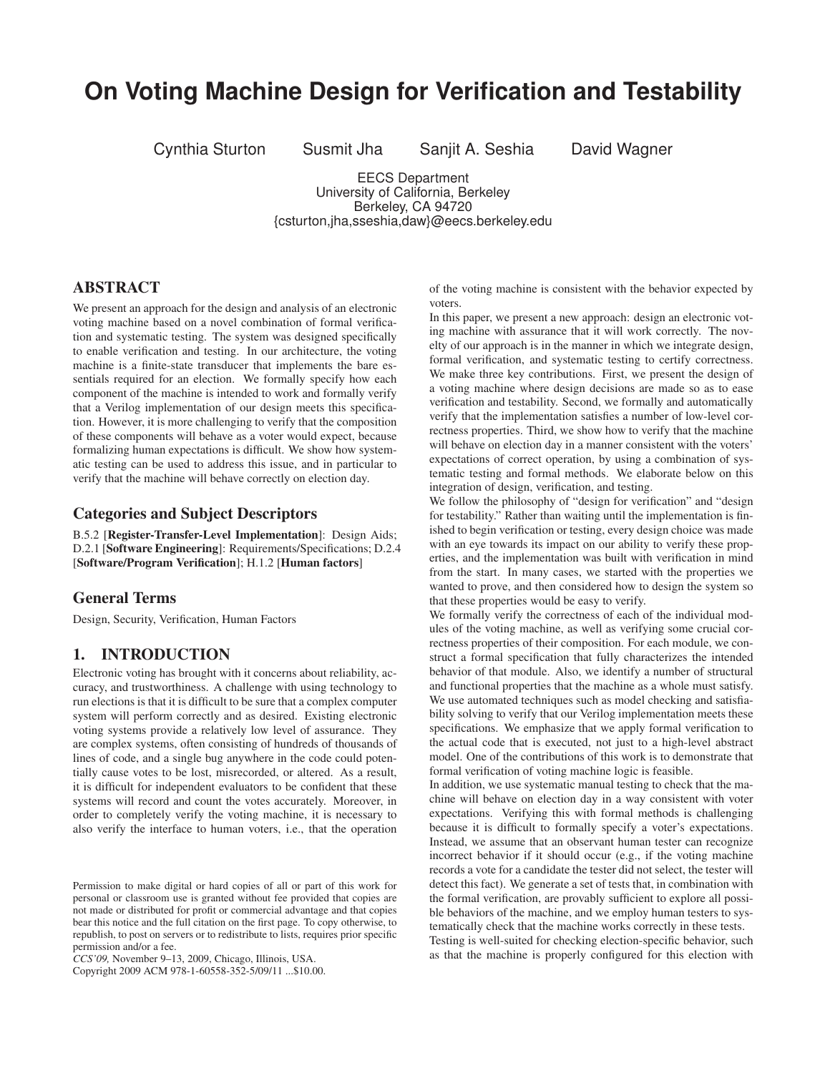# **On Voting Machine Design for Verification and Testability**

Cynthia Sturton Susmit Jha Sanjit A. Seshia David Wagner

EECS Department University of California, Berkeley Berkeley, CA 94720 {csturton,jha,sseshia,daw}@eecs.berkeley.edu

## **ABSTRACT**

We present an approach for the design and analysis of an electronic voting machine based on a novel combination of formal verification and systematic testing. The system was designed specifically to enable verification and testing. In our architecture, the voting machine is a finite-state transducer that implements the bare essentials required for an election. We formally specify how each component of the machine is intended to work and formally verify that a Verilog implementation of our design meets this specification. However, it is more challenging to verify that the composition of these components will behave as a voter would expect, because formalizing human expectations is difficult. We show how systematic testing can be used to address this issue, and in particular to verify that the machine will behave correctly on election day.

## **Categories and Subject Descriptors**

B.5.2 [**Register-Transfer-Level Implementation**]: Design Aids; D.2.1 [**Software Engineering**]: Requirements/Specifications; D.2.4 [**Software/Program Verification**]; H.1.2 [**Human factors**]

## **General Terms**

Design, Security, Verification, Human Factors

#### **1. INTRODUCTION**

Electronic voting has brought with it concerns about reliability, accuracy, and trustworthiness. A challenge with using technology to run elections is that it is difficult to be sure that a complex computer system will perform correctly and as desired. Existing electronic voting systems provide a relatively low level of assurance. They are complex systems, often consisting of hundreds of thousands of lines of code, and a single bug anywhere in the code could potentially cause votes to be lost, misrecorded, or altered. As a result, it is difficult for independent evaluators to be confident that these systems will record and count the votes accurately. Moreover, in order to completely verify the voting machine, it is necessary to also verify the interface to human voters, i.e., that the operation

Copyright 2009 ACM 978-1-60558-352-5/09/11 ...\$10.00.

of the voting machine is consistent with the behavior expected by voters.

In this paper, we present a new approach: design an electronic voting machine with assurance that it will work correctly. The novelty of our approach is in the manner in which we integrate design, formal verification, and systematic testing to certify correctness. We make three key contributions. First, we present the design of a voting machine where design decisions are made so as to ease verification and testability. Second, we formally and automatically verify that the implementation satisfies a number of low-level correctness properties. Third, we show how to verify that the machine will behave on election day in a manner consistent with the voters' expectations of correct operation, by using a combination of systematic testing and formal methods. We elaborate below on this integration of design, verification, and testing.

We follow the philosophy of "design for verification" and "design for testability." Rather than waiting until the implementation is finished to begin verification or testing, every design choice was made with an eye towards its impact on our ability to verify these properties, and the implementation was built with verification in mind from the start. In many cases, we started with the properties we wanted to prove, and then considered how to design the system so that these properties would be easy to verify.

We formally verify the correctness of each of the individual modules of the voting machine, as well as verifying some crucial correctness properties of their composition. For each module, we construct a formal specification that fully characterizes the intended behavior of that module. Also, we identify a number of structural and functional properties that the machine as a whole must satisfy. We use automated techniques such as model checking and satisfiability solving to verify that our Verilog implementation meets these specifications. We emphasize that we apply formal verification to the actual code that is executed, not just to a high-level abstract model. One of the contributions of this work is to demonstrate that formal verification of voting machine logic is feasible.

In addition, we use systematic manual testing to check that the machine will behave on election day in a way consistent with voter expectations. Verifying this with formal methods is challenging because it is difficult to formally specify a voter's expectations. Instead, we assume that an observant human tester can recognize incorrect behavior if it should occur (e.g., if the voting machine records a vote for a candidate the tester did not select, the tester will detect this fact). We generate a set of tests that, in combination with the formal verification, are provably sufficient to explore all possible behaviors of the machine, and we employ human testers to systematically check that the machine works correctly in these tests. Testing is well-suited for checking election-specific behavior, such

as that the machine is properly configured for this election with

Permission to make digital or hard copies of all or part of this work for personal or classroom use is granted without fee provided that copies are not made or distributed for profit or commercial advantage and that copies bear this notice and the full citation on the first page. To copy otherwise, to republish, to post on servers or to redistribute to lists, requires prior specific permission and/or a fee.

*CCS'09,* November 9–13, 2009, Chicago, Illinois, USA.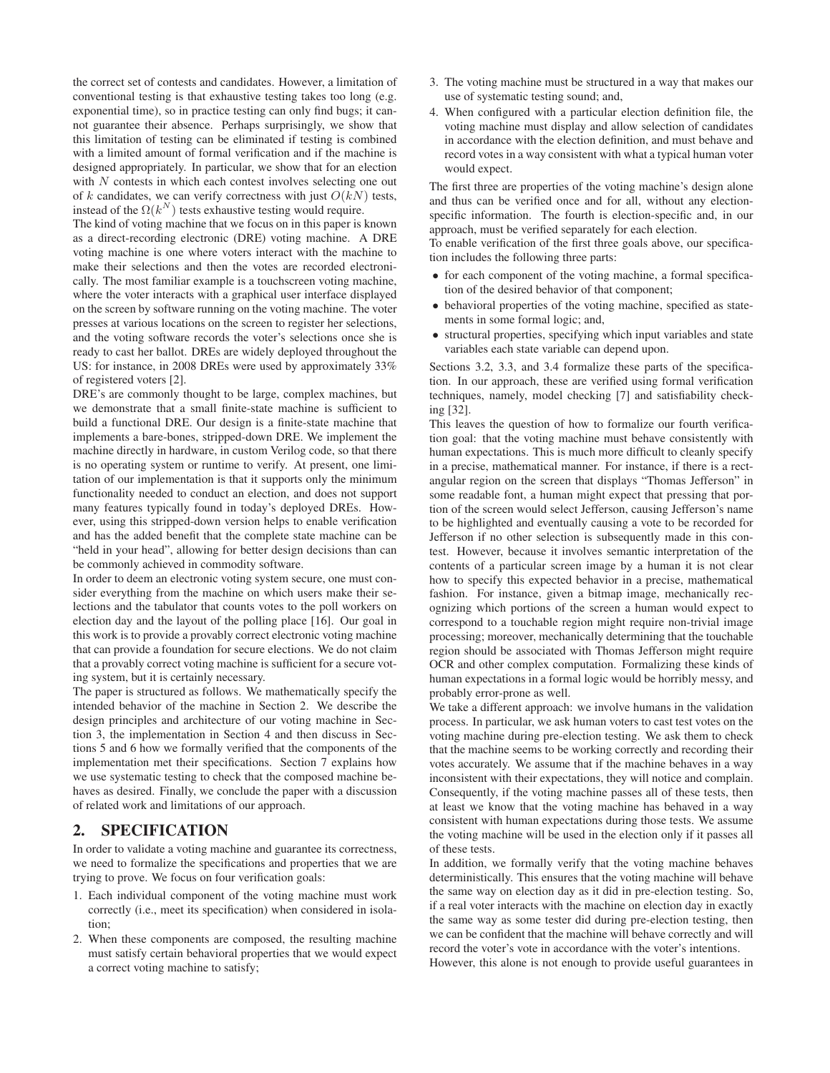the correct set of contests and candidates. However, a limitation of conventional testing is that exhaustive testing takes too long (e.g. exponential time), so in practice testing can only find bugs; it cannot guarantee their absence. Perhaps surprisingly, we show that this limitation of testing can be eliminated if testing is combined with a limited amount of formal verification and if the machine is designed appropriately. In particular, we show that for an election with  $N$  contests in which each contest involves selecting one out of k candidates, we can verify correctness with just  $O(kN)$  tests, instead of the  $\Omega(k^N)$  tests exhaustive testing would require.

The kind of voting machine that we focus on in this paper is known as a direct-recording electronic (DRE) voting machine. A DRE voting machine is one where voters interact with the machine to make their selections and then the votes are recorded electronically. The most familiar example is a touchscreen voting machine, where the voter interacts with a graphical user interface displayed on the screen by software running on the voting machine. The voter presses at various locations on the screen to register her selections, and the voting software records the voter's selections once she is ready to cast her ballot. DREs are widely deployed throughout the US: for instance, in 2008 DREs were used by approximately 33% of registered voters [2].

DRE's are commonly thought to be large, complex machines, but we demonstrate that a small finite-state machine is sufficient to build a functional DRE. Our design is a finite-state machine that implements a bare-bones, stripped-down DRE. We implement the machine directly in hardware, in custom Verilog code, so that there is no operating system or runtime to verify. At present, one limitation of our implementation is that it supports only the minimum functionality needed to conduct an election, and does not support many features typically found in today's deployed DREs. However, using this stripped-down version helps to enable verification and has the added benefit that the complete state machine can be "held in your head", allowing for better design decisions than can be commonly achieved in commodity software.

In order to deem an electronic voting system secure, one must consider everything from the machine on which users make their selections and the tabulator that counts votes to the poll workers on election day and the layout of the polling place [16]. Our goal in this work is to provide a provably correct electronic voting machine that can provide a foundation for secure elections. We do not claim that a provably correct voting machine is sufficient for a secure voting system, but it is certainly necessary.

The paper is structured as follows. We mathematically specify the intended behavior of the machine in Section 2. We describe the design principles and architecture of our voting machine in Section 3, the implementation in Section 4 and then discuss in Sections 5 and 6 how we formally verified that the components of the implementation met their specifications. Section 7 explains how we use systematic testing to check that the composed machine behaves as desired. Finally, we conclude the paper with a discussion of related work and limitations of our approach.

## **2. SPECIFICATION**

In order to validate a voting machine and guarantee its correctness, we need to formalize the specifications and properties that we are trying to prove. We focus on four verification goals:

- 1. Each individual component of the voting machine must work correctly (i.e., meet its specification) when considered in isolation;
- 2. When these components are composed, the resulting machine must satisfy certain behavioral properties that we would expect a correct voting machine to satisfy;
- 3. The voting machine must be structured in a way that makes our use of systematic testing sound; and,
- 4. When configured with a particular election definition file, the voting machine must display and allow selection of candidates in accordance with the election definition, and must behave and record votes in a way consistent with what a typical human voter would expect.

The first three are properties of the voting machine's design alone and thus can be verified once and for all, without any electionspecific information. The fourth is election-specific and, in our approach, must be verified separately for each election.

To enable verification of the first three goals above, our specification includes the following three parts:

- for each component of the voting machine, a formal specification of the desired behavior of that component;
- behavioral properties of the voting machine, specified as statements in some formal logic; and,
- structural properties, specifying which input variables and state variables each state variable can depend upon.

Sections 3.2, 3.3, and 3.4 formalize these parts of the specification. In our approach, these are verified using formal verification techniques, namely, model checking [7] and satisfiability checking [32].

This leaves the question of how to formalize our fourth verification goal: that the voting machine must behave consistently with human expectations. This is much more difficult to cleanly specify in a precise, mathematical manner. For instance, if there is a rectangular region on the screen that displays "Thomas Jefferson" in some readable font, a human might expect that pressing that portion of the screen would select Jefferson, causing Jefferson's name to be highlighted and eventually causing a vote to be recorded for Jefferson if no other selection is subsequently made in this contest. However, because it involves semantic interpretation of the contents of a particular screen image by a human it is not clear how to specify this expected behavior in a precise, mathematical fashion. For instance, given a bitmap image, mechanically recognizing which portions of the screen a human would expect to correspond to a touchable region might require non-trivial image processing; moreover, mechanically determining that the touchable region should be associated with Thomas Jefferson might require OCR and other complex computation. Formalizing these kinds of human expectations in a formal logic would be horribly messy, and probably error-prone as well.

We take a different approach: we involve humans in the validation process. In particular, we ask human voters to cast test votes on the voting machine during pre-election testing. We ask them to check that the machine seems to be working correctly and recording their votes accurately. We assume that if the machine behaves in a way inconsistent with their expectations, they will notice and complain. Consequently, if the voting machine passes all of these tests, then at least we know that the voting machine has behaved in a way consistent with human expectations during those tests. We assume the voting machine will be used in the election only if it passes all of these tests.

In addition, we formally verify that the voting machine behaves deterministically. This ensures that the voting machine will behave the same way on election day as it did in pre-election testing. So, if a real voter interacts with the machine on election day in exactly the same way as some tester did during pre-election testing, then we can be confident that the machine will behave correctly and will record the voter's vote in accordance with the voter's intentions.

However, this alone is not enough to provide useful guarantees in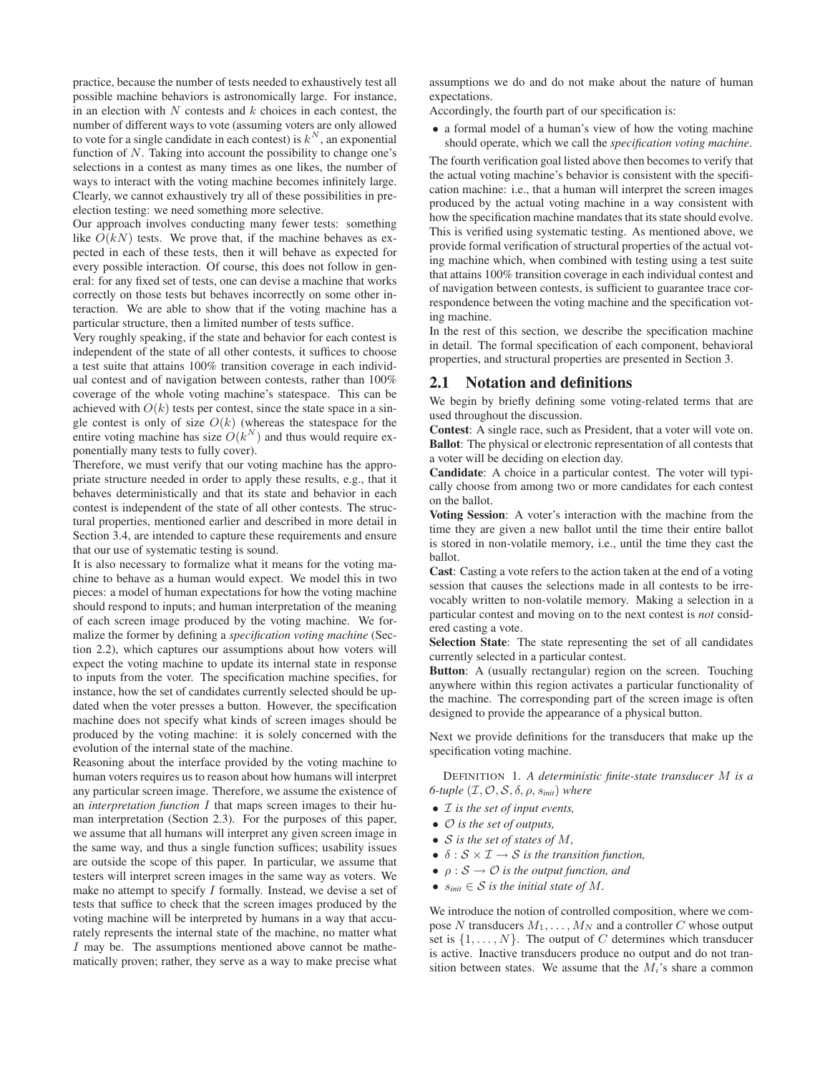practice, because the number of tests needed to exhaustively test all possible machine behaviors is astronomically large. For instance, in an election with  $N$  contests and  $k$  choices in each contest, the number of different ways to vote (assuming voters are only allowed to vote for a single candidate in each contest) is  $k^N$ , an exponential function of  $N$ . Taking into account the possibility to change one's selections in a contest as many times as one likes, the number of ways to interact with the voting machine becomes infinitely large. Clearly, we cannot exhaustively try all of these possibilities in preelection testing: we need something more selective.

Our approach involves conducting many fewer tests: something like  $O(kN)$  tests. We prove that, if the machine behaves as expected in each of these tests, then it will behave as expected for every possible interaction. Of course, this does not follow in general: for any fixed set of tests, one can devise a machine that works correctly on those tests but behaves incorrectly on some other interaction. We are able to show that if the voting machine has a particular structure, then a limited number of tests suffice.

Very roughly speaking, if the state and behavior for each contest is independent of the state of all other contests, it suffices to choose a test suite that attains 100% transition coverage in each individual contest and of navigation between contests, rather than 100% coverage of the whole voting machine's statespace. This can be achieved with  $O(k)$  tests per contest, since the state space in a single contest is only of size  $O(k)$  (whereas the statespace for the entire voting machine has size  $O(k^N)$  and thus would require exponentially many tests to fully cover).

Therefore, we must verify that our voting machine has the appropriate structure needed in order to apply these results, e.g., that it behaves deterministically and that its state and behavior in each contest is independent of the state of all other contests. The structural properties, mentioned earlier and described in more detail in Section 3.4, are intended to capture these requirements and ensure that our use of systematic testing is sound.

It is also necessary to formalize what it means for the voting machine to behave as a human would expect. We model this in two pieces: a model of human expectations for how the voting machine should respond to inputs; and human interpretation of the meaning of each screen image produced by the voting machine. We formalize the former by defining a *specification voting machine* (Section 2.2), which captures our assumptions about how voters will expect the voting machine to update its internal state in response to inputs from the voter. The specification machine specifies, for instance, how the set of candidates currently selected should be updated when the voter presses a button. However, the specification machine does not specify what kinds of screen images should be produced by the voting machine: it is solely concerned with the evolution of the internal state of the machine.

Reasoning about the interface provided by the voting machine to human voters requires us to reason about how humans will interpret any particular screen image. Therefore, we assume the existence of an *interpretation function* I that maps screen images to their human interpretation (Section 2.3). For the purposes of this paper, we assume that all humans will interpret any given screen image in the same way, and thus a single function suffices; usability issues are outside the scope of this paper. In particular, we assume that testers will interpret screen images in the same way as voters. We make no attempt to specify  $I$  formally. Instead, we devise a set of tests that suffice to check that the screen images produced by the voting machine will be interpreted by humans in a way that accurately represents the internal state of the machine, no matter what I may be. The assumptions mentioned above cannot be mathematically proven; rather, they serve as a way to make precise what assumptions we do and do not make about the nature of human expectations.

Accordingly, the fourth part of our specification is:

• a formal model of a human's view of how the voting machine should operate, which we call the *specification voting machine*.

The fourth verification goal listed above then becomes to verify that the actual voting machine's behavior is consistent with the specification machine: i.e., that a human will interpret the screen images produced by the actual voting machine in a way consistent with how the specification machine mandates that its state should evolve. This is verified using systematic testing. As mentioned above, we provide formal verification of structural properties of the actual voting machine which, when combined with testing using a test suite that attains 100% transition coverage in each individual contest and of navigation between contests, is sufficient to guarantee trace correspondence between the voting machine and the specification voting machine.

In the rest of this section, we describe the specification machine in detail. The formal specification of each component, behavioral properties, and structural properties are presented in Section 3.

#### **2.1 Notation and definitions**

We begin by briefly defining some voting-related terms that are used throughout the discussion.

**Contest**: A single race, such as President, that a voter will vote on. **Ballot**: The physical or electronic representation of all contests that a voter will be deciding on election day.

**Candidate**: A choice in a particular contest. The voter will typically choose from among two or more candidates for each contest on the ballot.

**Voting Session**: A voter's interaction with the machine from the time they are given a new ballot until the time their entire ballot is stored in non-volatile memory, i.e., until the time they cast the ballot.

**Cast**: Casting a vote refers to the action taken at the end of a voting session that causes the selections made in all contests to be irrevocably written to non-volatile memory. Making a selection in a particular contest and moving on to the next contest is *not* considered casting a vote.

**Selection State**: The state representing the set of all candidates currently selected in a particular contest.

**Button**: A (usually rectangular) region on the screen. Touching anywhere within this region activates a particular functionality of the machine. The corresponding part of the screen image is often designed to provide the appearance of a physical button.

Next we provide definitions for the transducers that make up the specification voting machine.

DEFINITION 1. *A deterministic finite-state transducer* M *is a 6-tuple*  $(\mathcal{I}, \mathcal{O}, \mathcal{S}, \delta, \rho, s_{\text{init}})$  *where* 

- I *is the set of input events,*
- O *is the set of outputs,*
- S *is the set of states of* M*,*
- $\delta : \mathcal{S} \times \mathcal{I} \rightarrow \mathcal{S}$  *is the transition function,*
- $\rho : \mathcal{S} \to \mathcal{O}$  *is the output function, and*
- $s_{\text{init}} \in \mathcal{S}$  *is the initial state of M*.

We introduce the notion of controlled composition, where we compose N transducers  $M_1, \ldots, M_N$  and a controller C whose output set is  $\{1, \ldots, N\}$ . The output of C determines which transducer is active. Inactive transducers produce no output and do not transition between states. We assume that the  $M_i$ 's share a common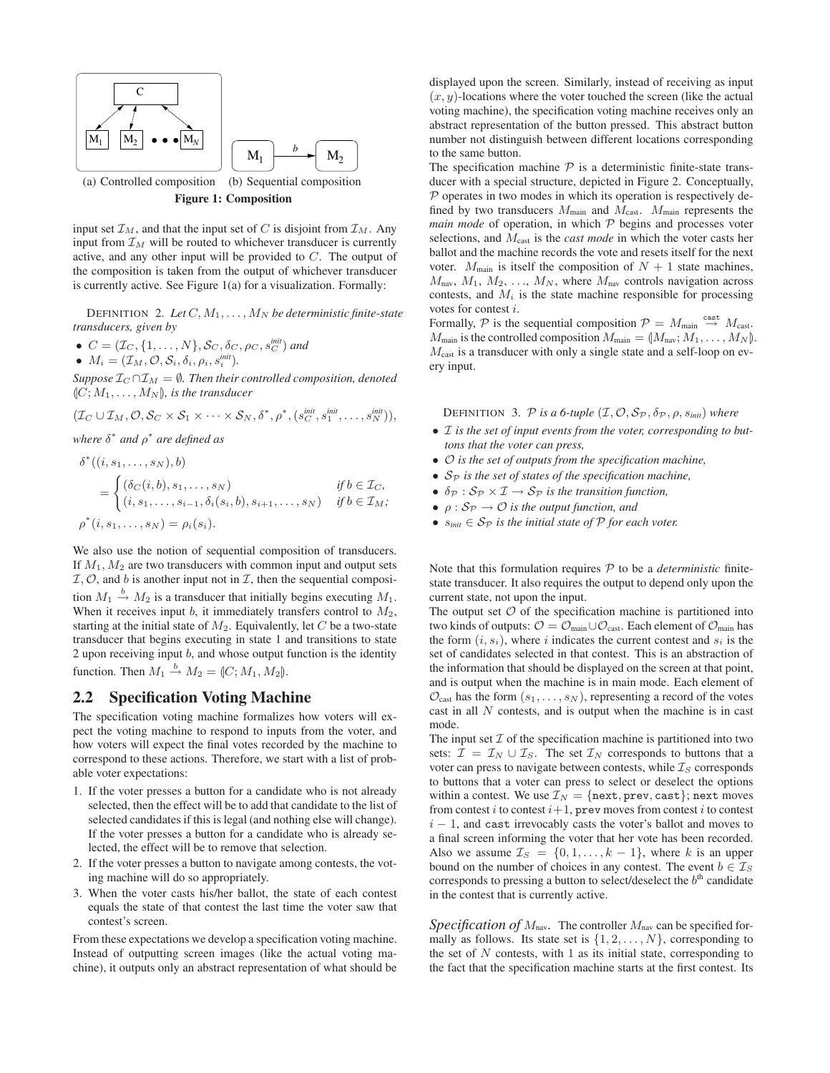

input set  $\mathcal{I}_M$ , and that the input set of C is disjoint from  $\mathcal{I}_M$ . Any input from  $\mathcal{I}_M$  will be routed to whichever transducer is currently active, and any other input will be provided to C. The output of the composition is taken from the output of whichever transducer is currently active. See Figure 1(a) for a visualization. Formally:

DEFINITION 2. Let  $C, M_1, \ldots, M_N$  be deterministic finite-state *transducers, given by*

- $C = (\mathcal{I}_C, \{1, \ldots, N\}, \mathcal{S}_C, \delta_C, \rho_C, s_C^{init})$  and
- $M_i = (\mathcal{I}_M, \mathcal{O}, \mathcal{S}_i, \delta_i, \rho_i, s_i^{init}).$

*Suppose*  $\mathcal{I}_C \cap \mathcal{I}_M = \emptyset$ . *Then their controlled composition, denoted*  $\{C; M_1, \ldots, M_N\}$ , is the transducer

$$
(\mathcal{I}_{C} \cup \mathcal{I}_{M}, \mathcal{O}, \mathcal{S}_{C} \times \mathcal{S}_{1} \times \cdots \times \mathcal{S}_{N}, \delta^{*}, \rho^{*}, (s_{C}^{init}, s_{1}^{init}, \ldots, s_{N}^{init})),
$$

*where* δ ∗ *and* ρ ∗ *are defined as*

$$
\delta^*((i,s_1,\ldots,s_N),b)
$$
  
= 
$$
\begin{cases}\n(\delta_C(i,b),s_1,\ldots,s_N) & \text{if } b \in \mathcal{I}_C, \\
(i,s_1,\ldots,s_{i-1},\delta_i(s_i,b),s_{i+1},\ldots,s_N) & \text{if } b \in \mathcal{I}_M; \\
\rho^*(i,s_1,\ldots,s_N) = \rho_i(s_i).\n\end{cases}
$$

We also use the notion of sequential composition of transducers. If  $M_1, M_2$  are two transducers with common input and output sets  $I, O$ , and b is another input not in  $I$ , then the sequential composition  $M_1 \stackrel{b}{\rightarrow} M_2$  is a transducer that initially begins executing  $M_1$ . When it receives input b, it immediately transfers control to  $M_2$ , starting at the initial state of  $M_2$ . Equivalently, let  $C$  be a two-state transducer that begins executing in state 1 and transitions to state 2 upon receiving input  $b$ , and whose output function is the identity function. Then  $M_1 \stackrel{b}{\rightarrow} M_2 = (C; M_1, M_2)$ .

## **2.2 Specification Voting Machine**

The specification voting machine formalizes how voters will expect the voting machine to respond to inputs from the voter, and how voters will expect the final votes recorded by the machine to correspond to these actions. Therefore, we start with a list of probable voter expectations:

- 1. If the voter presses a button for a candidate who is not already selected, then the effect will be to add that candidate to the list of selected candidates if this is legal (and nothing else will change). If the voter presses a button for a candidate who is already selected, the effect will be to remove that selection.
- 2. If the voter presses a button to navigate among contests, the voting machine will do so appropriately.
- 3. When the voter casts his/her ballot, the state of each contest equals the state of that contest the last time the voter saw that contest's screen.

From these expectations we develop a specification voting machine. Instead of outputting screen images (like the actual voting machine), it outputs only an abstract representation of what should be displayed upon the screen. Similarly, instead of receiving as input  $(x, y)$ -locations where the voter touched the screen (like the actual voting machine), the specification voting machine receives only an abstract representation of the button pressed. This abstract button number not distinguish between different locations corresponding to the same button.

The specification machine  $P$  is a deterministic finite-state transducer with a special structure, depicted in Figure 2. Conceptually,  $P$  operates in two modes in which its operation is respectively defined by two transducers  $M_{\text{main}}$  and  $M_{\text{cast}}$ .  $M_{\text{main}}$  represents the *main mode* of operation, in which  $P$  begins and processes voter selections, and  $M_{\text{cast}}$  is the *cast mode* in which the voter casts her ballot and the machine records the vote and resets itself for the next voter.  $M_{\text{main}}$  is itself the composition of  $N + 1$  state machines,  $M_{\text{nav}}, M_1, M_2, \ldots, M_N$ , where  $M_{\text{nav}}$  controls navigation across contests, and  $M_i$  is the state machine responsible for processing votes for contest i.

Formally, P is the sequential composition  $P = M_{\text{main}} \stackrel{\text{cast}}{\rightarrow} M_{\text{cast}}$ .  $M_{\text{main}}$  is the controlled composition  $M_{\text{main}} = (M_{\text{nav}}; M_1, \dots, M_N)$ .  $M_{\text{cast}}$  is a transducer with only a single state and a self-loop on every input.

DEFINITION 3. P is a 6-tuple  $(\mathcal{I}, \mathcal{O}, \mathcal{S}_{\mathcal{P}}, \delta_{\mathcal{P}}, \rho, s_{init})$  where

- I *is the set of input events from the voter, corresponding to buttons that the voter can press,*
- O *is the set of outputs from the specification machine,*
- $S_{\mathcal{P}}$  *is the set of states of the specification machine,*
- $\delta_P : S_P \times I \rightarrow S_P$  *is the transition function,*
- $\rho : S_{\mathcal{P}} \to \mathcal{O}$  *is the output function, and*
- $s_{\text{init}} \in S_{\mathcal{P}}$  *is the initial state of*  $\mathcal{P}$  *for each voter.*

Note that this formulation requires P to be a *deterministic* finitestate transducer. It also requires the output to depend only upon the current state, not upon the input.

The output set  $O$  of the specification machine is partitioned into two kinds of outputs:  $\mathcal{O} = \mathcal{O}_{\text{main}} \cup \mathcal{O}_{\text{cast}}$ . Each element of  $\mathcal{O}_{\text{main}}$  has the form  $(i, s_i)$ , where i indicates the current contest and  $s_i$  is the set of candidates selected in that contest. This is an abstraction of the information that should be displayed on the screen at that point, and is output when the machine is in main mode. Each element of  $\mathcal{O}_{\text{cast}}$  has the form  $(s_1, \ldots, s_N)$ , representing a record of the votes cast in all N contests, and is output when the machine is in cast mode.

The input set  $\mathcal I$  of the specification machine is partitioned into two sets:  $\mathcal{I} = \mathcal{I}_N \cup \mathcal{I}_S$ . The set  $\mathcal{I}_N$  corresponds to buttons that a voter can press to navigate between contests, while  $\mathcal{I}_S$  corresponds to buttons that a voter can press to select or deselect the options within a contest. We use  $\mathcal{I}_N = \{ \texttt{next}, \texttt{prev}, \texttt{cast} \}$ ; next moves from contest i to contest  $i+1$ , prev moves from contest i to contest  $i - 1$ , and cast irrevocably casts the voter's ballot and moves to a final screen informing the voter that her vote has been recorded. Also we assume  $\mathcal{I}_S = \{0, 1, \ldots, k-1\}$ , where k is an upper bound on the number of choices in any contest. The event  $b \in \mathcal{I}_S$ corresponds to pressing a button to select/deselect the  $b<sup>th</sup>$  candidate in the contest that is currently active.

*Specification of*  $M_{\text{nav}}$ . The controller  $M_{\text{nav}}$  can be specified formally as follows. Its state set is  $\{1, 2, \ldots, N\}$ , corresponding to the set of  $N$  contests, with 1 as its initial state, corresponding to the fact that the specification machine starts at the first contest. Its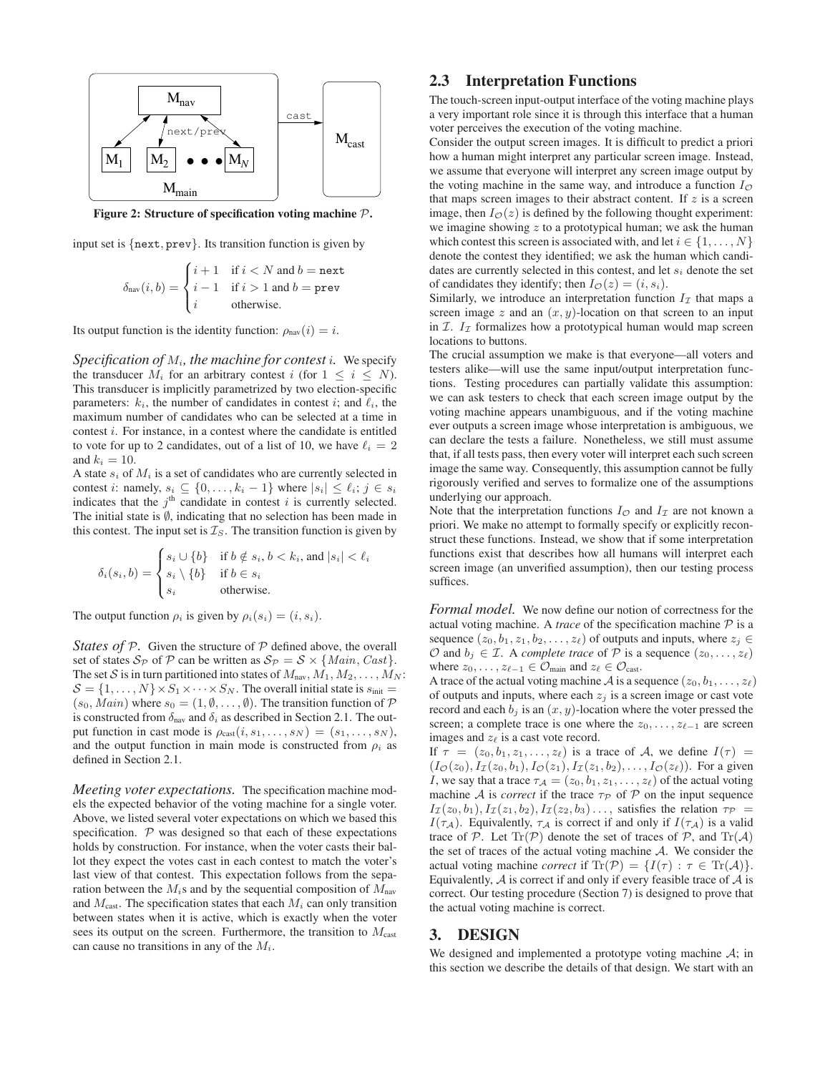

**Figure 2: Structure of specification voting machine** P**.**

input set is {next, prev}. Its transition function is given by

$$
\delta_{\text{nav}}(i, b) = \begin{cases} i+1 & \text{if } i < N \text{ and } b = \texttt{next} \\ i-1 & \text{if } i > 1 \text{ and } b = \texttt{prev} \\ i & \text{otherwise.} \end{cases}
$$

Its output function is the identity function:  $\rho_{\text{nav}}(i) = i$ .

*Specification of*  $M_i$ , the machine for contest i. We specify the transducer  $M_i$  for an arbitrary contest i (for  $1 \le i \le N$ ). This transducer is implicitly parametrized by two election-specific parameters:  $k_i$ , the number of candidates in contest i; and  $\ell_i$ , the maximum number of candidates who can be selected at a time in contest i. For instance, in a contest where the candidate is entitled to vote for up to 2 candidates, out of a list of 10, we have  $\ell_i = 2$ and  $k_i = 10$ .

A state  $s_i$  of  $M_i$  is a set of candidates who are currently selected in contest *i*: namely,  $s_i \subseteq \{0, \ldots, k_i - 1\}$  where  $|s_i| \leq \ell_i$ ;  $j \in s_i$ indicates that the  $j<sup>th</sup>$  candidate in contest i is currently selected. The initial state is ∅, indicating that no selection has been made in this contest. The input set is  $\mathcal{I}_S$ . The transition function is given by

$$
\delta_i(s_i, b) = \begin{cases} s_i \cup \{b\} & \text{if } b \notin s_i, b < k_i, \text{and } |s_i| < \ell_i \\ s_i \setminus \{b\} & \text{if } b \in s_i \\ s_i & \text{otherwise.} \end{cases}
$$

The output function  $\rho_i$  is given by  $\rho_i(s_i) = (i, s_i)$ .

*States of* P. Given the structure of P defined above, the overall set of states  $S_p$  of P can be written as  $S_p = S \times \{Main, Cast\}.$ The set S is in turn partitioned into states of  $M_{\text{nav}}, M_1, M_2, \ldots, M_N$ :  $S = \{1, \ldots, N\} \times S_1 \times \cdots \times S_N$ . The overall initial state is  $s_{\text{init}} =$  $(s_0, Main)$  where  $s_0 = (1, \emptyset, \dots, \emptyset)$ . The transition function of  $P$ is constructed from  $\delta_{\text{nav}}$  and  $\delta_i$  as described in Section 2.1. The output function in cast mode is  $\rho_{\text{cast}}(i, s_1, \ldots, s_N) = (s_1, \ldots, s_N)$ , and the output function in main mode is constructed from  $\rho_i$  as defined in Section 2.1.

*Meeting voter expectations.* The specification machine models the expected behavior of the voting machine for a single voter. Above, we listed several voter expectations on which we based this specification.  $P$  was designed so that each of these expectations holds by construction. For instance, when the voter casts their ballot they expect the votes cast in each contest to match the voter's last view of that contest. This expectation follows from the separation between the  $M_i$ s and by the sequential composition of  $M_{\text{nav}}$ and  $M_{\text{cast}}$ . The specification states that each  $M_i$  can only transition between states when it is active, which is exactly when the voter sees its output on the screen. Furthermore, the transition to  $M_{\text{cast}}$ can cause no transitions in any of the  $M_i$ .

## **2.3 Interpretation Functions**

The touch-screen input-output interface of the voting machine plays a very important role since it is through this interface that a human voter perceives the execution of the voting machine.

Consider the output screen images. It is difficult to predict a priori how a human might interpret any particular screen image. Instead, we assume that everyone will interpret any screen image output by the voting machine in the same way, and introduce a function  $I_{\mathcal{O}}$ that maps screen images to their abstract content. If  $z$  is a screen image, then  $I_{\mathcal{O}}(z)$  is defined by the following thought experiment: we imagine showing  $z$  to a prototypical human; we ask the human which contest this screen is associated with, and let  $i \in \{1, \ldots, N\}$ denote the contest they identified; we ask the human which candidates are currently selected in this contest, and let  $s_i$  denote the set of candidates they identify; then  $I_{\mathcal{O}}(z) = (i, s_i)$ .

Similarly, we introduce an interpretation function  $I_{\mathcal{I}}$  that maps a screen image  $z$  and an  $(x, y)$ -location on that screen to an input in  $I$ .  $I_I$  formalizes how a prototypical human would map screen locations to buttons.

The crucial assumption we make is that everyone—all voters and testers alike—will use the same input/output interpretation functions. Testing procedures can partially validate this assumption: we can ask testers to check that each screen image output by the voting machine appears unambiguous, and if the voting machine ever outputs a screen image whose interpretation is ambiguous, we can declare the tests a failure. Nonetheless, we still must assume that, if all tests pass, then every voter will interpret each such screen image the same way. Consequently, this assumption cannot be fully rigorously verified and serves to formalize one of the assumptions underlying our approach.

Note that the interpretation functions  $I_{\mathcal{O}}$  and  $I_{\mathcal{I}}$  are not known a priori. We make no attempt to formally specify or explicitly reconstruct these functions. Instead, we show that if some interpretation functions exist that describes how all humans will interpret each screen image (an unverified assumption), then our testing process suffices.

*Formal model.* We now define our notion of correctness for the actual voting machine. A *trace* of the specification machine  $P$  is a sequence  $(z_0, b_1, z_1, b_2, \ldots, z_\ell)$  of outputs and inputs, where  $z_j \in$  $O$  and  $b_j \in \mathcal{I}$ . A *complete trace* of  $P$  is a sequence  $(z_0, \ldots, z_\ell)$ where  $z_0, \ldots, z_{\ell-1} \in \mathcal{O}_{\text{main}}$  and  $z_{\ell} \in \mathcal{O}_{\text{cast}}$ .

A trace of the actual voting machine A is a sequence  $(z_0, b_1, \ldots, z_\ell)$ of outputs and inputs, where each  $z_i$  is a screen image or cast vote record and each  $b_i$  is an  $(x, y)$ -location where the voter pressed the screen; a complete trace is one where the  $z_0, \ldots, z_{\ell-1}$  are screen images and  $z_{\ell}$  is a cast vote record.

If  $\tau = (z_0, b_1, z_1, \ldots, z_\ell)$  is a trace of A, we define  $I(\tau) =$  $(I_{\mathcal{O}}(z_0), I_{\mathcal{I}}(z_0, b_1), I_{\mathcal{O}}(z_1), I_{\mathcal{I}}(z_1, b_2), \ldots, I_{\mathcal{O}}(z_{\ell}))$ . For a given I, we say that a trace  $\tau_A = (z_0, b_1, z_1, \dots, z_\ell)$  of the actual voting machine A is *correct* if the trace  $\tau_{\mathcal{P}}$  of P on the input sequence  $I_{\mathcal{I}}(z_0, b_1), I_{\mathcal{I}}(z_1, b_2), I_{\mathcal{I}}(z_2, b_3) \ldots$ , satisfies the relation  $\tau_{\mathcal{P}} =$  $I(\tau_{\mathcal{A}})$ . Equivalently,  $\tau_{\mathcal{A}}$  is correct if and only if  $I(\tau_{\mathcal{A}})$  is a valid trace of P. Let  $\text{Tr}(\mathcal{P})$  denote the set of traces of P, and  $\text{Tr}(\mathcal{A})$ the set of traces of the actual voting machine A. We consider the actual voting machine *correct* if  $\text{Tr}(\mathcal{P}) = \{I(\tau) : \tau \in \text{Tr}(\mathcal{A})\}.$ Equivalently,  $A$  is correct if and only if every feasible trace of  $A$  is correct. Our testing procedure (Section 7) is designed to prove that the actual voting machine is correct.

## **3. DESIGN**

We designed and implemented a prototype voting machine  $A$ ; in this section we describe the details of that design. We start with an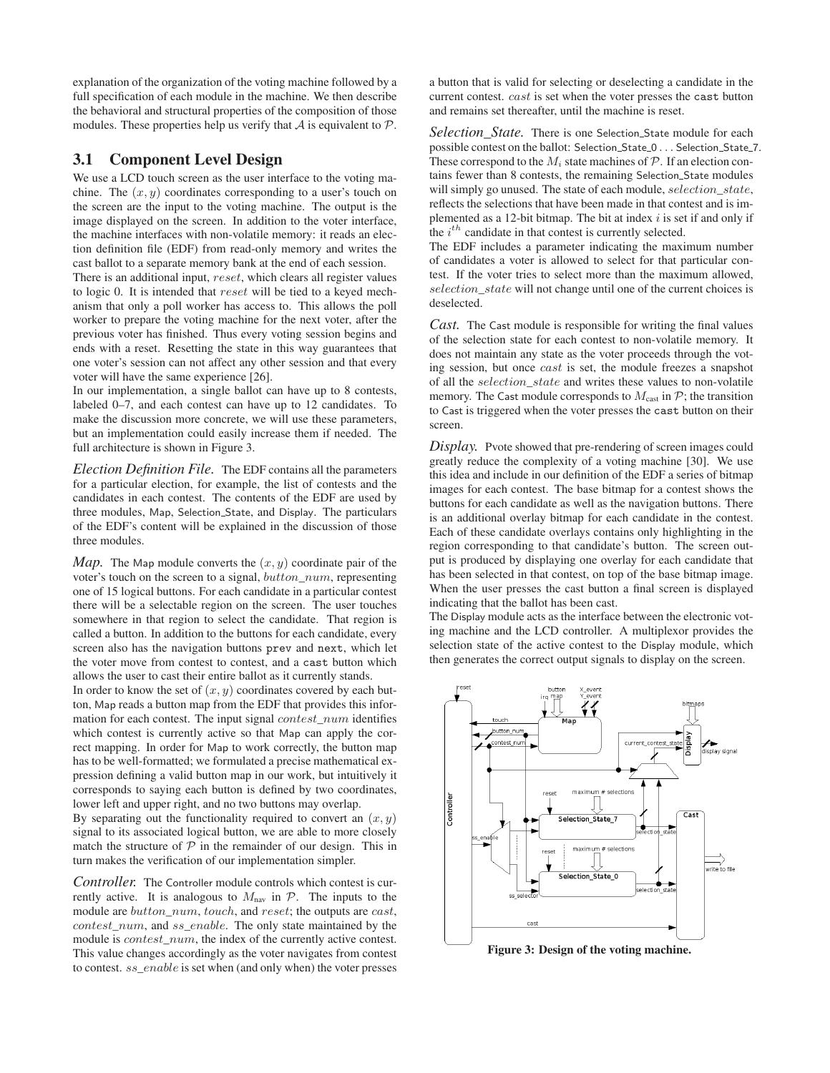explanation of the organization of the voting machine followed by a full specification of each module in the machine. We then describe the behavioral and structural properties of the composition of those modules. These properties help us verify that  $A$  is equivalent to  $P$ .

## **3.1 Component Level Design**

We use a LCD touch screen as the user interface to the voting machine. The  $(x, y)$  coordinates corresponding to a user's touch on the screen are the input to the voting machine. The output is the image displayed on the screen. In addition to the voter interface, the machine interfaces with non-volatile memory: it reads an election definition file (EDF) from read-only memory and writes the cast ballot to a separate memory bank at the end of each session.

There is an additional input, reset, which clears all register values to logic 0. It is intended that reset will be tied to a keyed mechanism that only a poll worker has access to. This allows the poll worker to prepare the voting machine for the next voter, after the previous voter has finished. Thus every voting session begins and ends with a reset. Resetting the state in this way guarantees that one voter's session can not affect any other session and that every voter will have the same experience [26].

In our implementation, a single ballot can have up to 8 contests, labeled 0–7, and each contest can have up to 12 candidates. To make the discussion more concrete, we will use these parameters, but an implementation could easily increase them if needed. The full architecture is shown in Figure 3.

*Election Definition File.* The EDF contains all the parameters for a particular election, for example, the list of contests and the candidates in each contest. The contents of the EDF are used by three modules, Map, Selection\_State, and Display. The particulars of the EDF's content will be explained in the discussion of those three modules.

*Map*. The Map module converts the  $(x, y)$  coordinate pair of the voter's touch on the screen to a signal, button\_num, representing one of 15 logical buttons. For each candidate in a particular contest there will be a selectable region on the screen. The user touches somewhere in that region to select the candidate. That region is called a button. In addition to the buttons for each candidate, every screen also has the navigation buttons prev and next, which let the voter move from contest to contest, and a cast button which allows the user to cast their entire ballot as it currently stands.

In order to know the set of  $(x, y)$  coordinates covered by each button, Map reads a button map from the EDF that provides this information for each contest. The input signal *contest* num identifies which contest is currently active so that Map can apply the correct mapping. In order for Map to work correctly, the button map has to be well-formatted; we formulated a precise mathematical expression defining a valid button map in our work, but intuitively it corresponds to saying each button is defined by two coordinates, lower left and upper right, and no two buttons may overlap.

By separating out the functionality required to convert an  $(x, y)$ signal to its associated logical button, we are able to more closely match the structure of  $P$  in the remainder of our design. This in turn makes the verification of our implementation simpler.

*Controller.* The Controller module controls which contest is currently active. It is analogous to  $M_{\text{nav}}$  in  $\mathcal{P}$ . The inputs to the module are *button\_num*, *touch*, and *reset*; the outputs are *cast*, contest\_num, and ss\_enable. The only state maintained by the module is *contest\_num*, the index of the currently active contest. This value changes accordingly as the voter navigates from contest to contest. ss\_enable is set when (and only when) the voter presses a button that is valid for selecting or deselecting a candidate in the current contest. cast is set when the voter presses the cast button and remains set thereafter, until the machine is reset.

*Selection State.* There is one Selection State module for each possible contest on the ballot: Selection\_State\_0 . . . Selection\_State\_7. These correspond to the  $M_i$  state machines of  $P$ . If an election contains fewer than 8 contests, the remaining Selection State modules will simply go unused. The state of each module, selection\_state, reflects the selections that have been made in that contest and is implemented as a 12-bit bitmap. The bit at index  $i$  is set if and only if the  $i^{th}$  candidate in that contest is currently selected.

The EDF includes a parameter indicating the maximum number of candidates a voter is allowed to select for that particular contest. If the voter tries to select more than the maximum allowed, selection\_state will not change until one of the current choices is deselected.

*Cast.* The Cast module is responsible for writing the final values of the selection state for each contest to non-volatile memory. It does not maintain any state as the voter proceeds through the voting session, but once cast is set, the module freezes a snapshot of all the selection\_state and writes these values to non-volatile memory. The Cast module corresponds to  $M_{\text{cast}}$  in  $P$ ; the transition to Cast is triggered when the voter presses the cast button on their screen.

*Display.* Pvote showed that pre-rendering of screen images could greatly reduce the complexity of a voting machine [30]. We use this idea and include in our definition of the EDF a series of bitmap images for each contest. The base bitmap for a contest shows the buttons for each candidate as well as the navigation buttons. There is an additional overlay bitmap for each candidate in the contest. Each of these candidate overlays contains only highlighting in the region corresponding to that candidate's button. The screen output is produced by displaying one overlay for each candidate that has been selected in that contest, on top of the base bitmap image. When the user presses the cast button a final screen is displayed indicating that the ballot has been cast.

The Display module acts as the interface between the electronic voting machine and the LCD controller. A multiplexor provides the selection state of the active contest to the Display module, which then generates the correct output signals to display on the screen.



**Figure 3: Design of the voting machine.**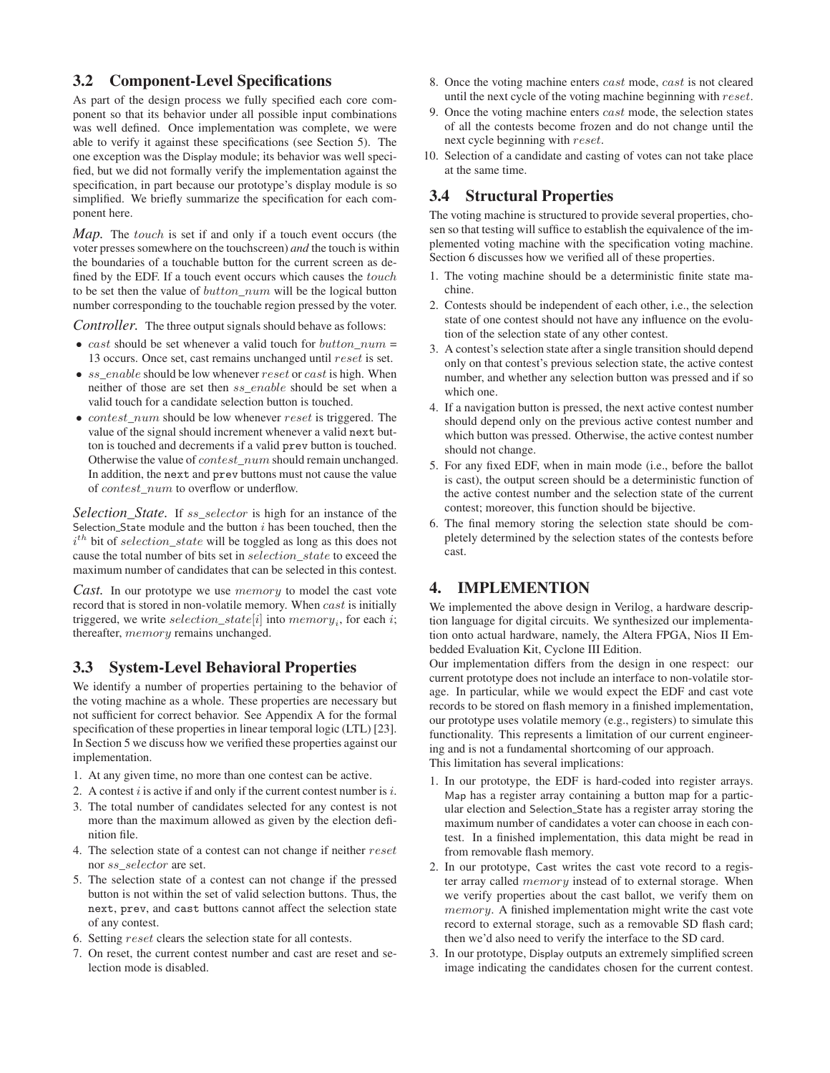# **3.2 Component-Level Specifications**

As part of the design process we fully specified each core component so that its behavior under all possible input combinations was well defined. Once implementation was complete, we were able to verify it against these specifications (see Section 5). The one exception was the Display module; its behavior was well specified, but we did not formally verify the implementation against the specification, in part because our prototype's display module is so simplified. We briefly summarize the specification for each component here.

*Map*. The *touch* is set if and only if a touch event occurs (the voter presses somewhere on the touchscreen) *and* the touch is within the boundaries of a touchable button for the current screen as defined by the EDF. If a touch event occurs which causes the touch to be set then the value of button\_num will be the logical button number corresponding to the touchable region pressed by the voter.

*Controller.* The three output signals should behave as follows:

- cast should be set whenever a valid touch for  $button\_num =$ 13 occurs. Once set, cast remains unchanged until reset is set.
- $\bullet$  ss\_enable should be low whenever reset or cast is high. When neither of those are set then ss\_enable should be set when a valid touch for a candidate selection button is touched.
- *contest\_num* should be low whenever reset is triggered. The value of the signal should increment whenever a valid next button is touched and decrements if a valid prev button is touched. Otherwise the value of contest\_num should remain unchanged. In addition, the next and prev buttons must not cause the value of contest\_num to overflow or underflow.

*Selection\_State.* If ss\_selector is high for an instance of the Selection\_State module and the button  $i$  has been touched, then the  $i^{th}$  bit of selection\_state will be toggled as long as this does not cause the total number of bits set in selection\_state to exceed the maximum number of candidates that can be selected in this contest.

*Cast.* In our prototype we use memory to model the cast vote record that is stored in non-volatile memory. When cast is initially triggered, we write  $selection\_state[i]$  into  $memory_i$ , for each *i*; thereafter, memory remains unchanged.

# **3.3 System-Level Behavioral Properties**

We identify a number of properties pertaining to the behavior of the voting machine as a whole. These properties are necessary but not sufficient for correct behavior. See Appendix A for the formal specification of these properties in linear temporal logic (LTL) [23]. In Section 5 we discuss how we verified these properties against our implementation.

- 1. At any given time, no more than one contest can be active.
- 2. A contest  $i$  is active if and only if the current contest number is  $i$ .
- 3. The total number of candidates selected for any contest is not more than the maximum allowed as given by the election definition file.
- 4. The selection state of a contest can not change if neither reset nor ss\_selector are set.
- 5. The selection state of a contest can not change if the pressed button is not within the set of valid selection buttons. Thus, the next, prev, and cast buttons cannot affect the selection state of any contest.
- 6. Setting reset clears the selection state for all contests.
- 7. On reset, the current contest number and cast are reset and selection mode is disabled.
- 8. Once the voting machine enters cast mode, cast is not cleared until the next cycle of the voting machine beginning with reset.
- 9. Once the voting machine enters cast mode, the selection states of all the contests become frozen and do not change until the next cycle beginning with reset.
- 10. Selection of a candidate and casting of votes can not take place at the same time.

## **3.4 Structural Properties**

The voting machine is structured to provide several properties, chosen so that testing will suffice to establish the equivalence of the implemented voting machine with the specification voting machine. Section 6 discusses how we verified all of these properties.

- 1. The voting machine should be a deterministic finite state machine.
- 2. Contests should be independent of each other, i.e., the selection state of one contest should not have any influence on the evolution of the selection state of any other contest.
- 3. A contest's selection state after a single transition should depend only on that contest's previous selection state, the active contest number, and whether any selection button was pressed and if so which one.
- 4. If a navigation button is pressed, the next active contest number should depend only on the previous active contest number and which button was pressed. Otherwise, the active contest number should not change.
- 5. For any fixed EDF, when in main mode (i.e., before the ballot is cast), the output screen should be a deterministic function of the active contest number and the selection state of the current contest; moreover, this function should be bijective.
- 6. The final memory storing the selection state should be completely determined by the selection states of the contests before cast.

## **4. IMPLEMENTION**

We implemented the above design in Verilog, a hardware description language for digital circuits. We synthesized our implementation onto actual hardware, namely, the Altera FPGA, Nios II Embedded Evaluation Kit, Cyclone III Edition.

Our implementation differs from the design in one respect: our current prototype does not include an interface to non-volatile storage. In particular, while we would expect the EDF and cast vote records to be stored on flash memory in a finished implementation, our prototype uses volatile memory (e.g., registers) to simulate this functionality. This represents a limitation of our current engineering and is not a fundamental shortcoming of our approach. This limitation has several implications:

- 1. In our prototype, the EDF is hard-coded into register arrays. Map has a register array containing a button map for a particular election and Selection State has a register array storing the maximum number of candidates a voter can choose in each con-
- from removable flash memory. 2. In our prototype, Cast writes the cast vote record to a register array called *memory* instead of to external storage. When we verify properties about the cast ballot, we verify them on memory. A finished implementation might write the cast vote record to external storage, such as a removable SD flash card; then we'd also need to verify the interface to the SD card.

test. In a finished implementation, this data might be read in

3. In our prototype, Display outputs an extremely simplified screen image indicating the candidates chosen for the current contest.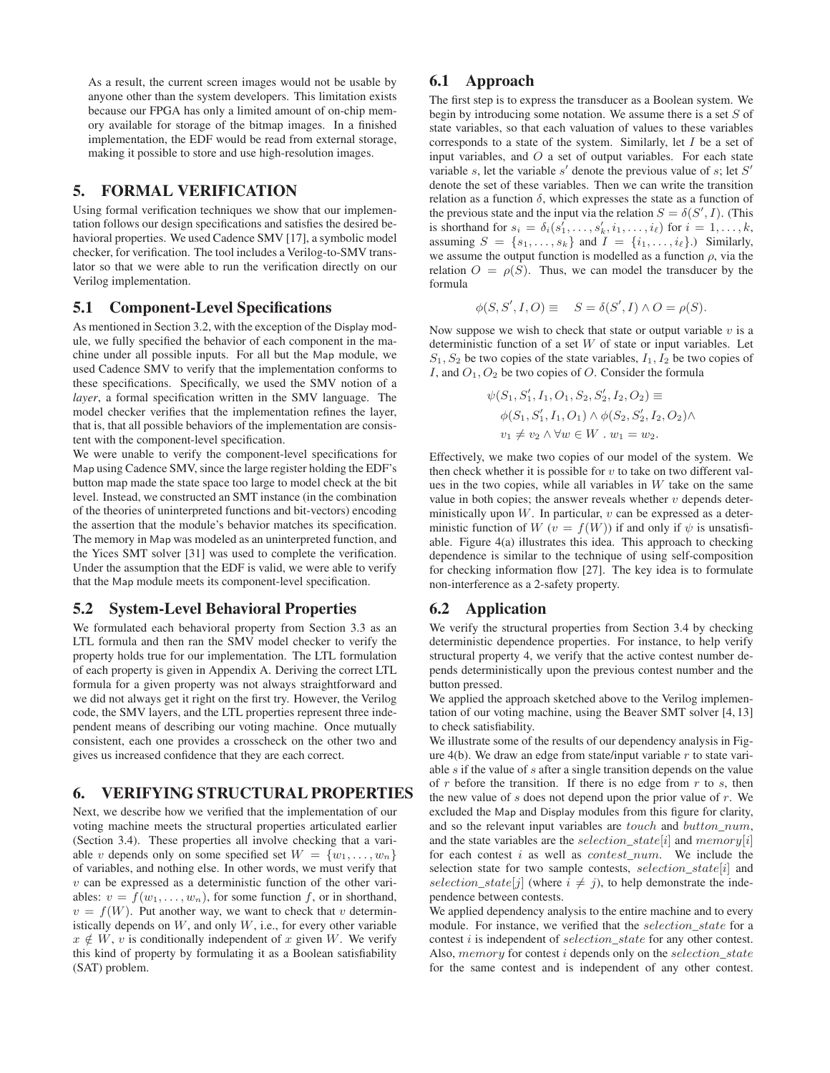As a result, the current screen images would not be usable by anyone other than the system developers. This limitation exists because our FPGA has only a limited amount of on-chip memory available for storage of the bitmap images. In a finished implementation, the EDF would be read from external storage, making it possible to store and use high-resolution images.

## **5. FORMAL VERIFICATION**

Using formal verification techniques we show that our implementation follows our design specifications and satisfies the desired behavioral properties. We used Cadence SMV [17], a symbolic model checker, for verification. The tool includes a Verilog-to-SMV translator so that we were able to run the verification directly on our Verilog implementation.

### **5.1 Component-Level Specifications**

As mentioned in Section 3.2, with the exception of the Display module, we fully specified the behavior of each component in the machine under all possible inputs. For all but the Map module, we used Cadence SMV to verify that the implementation conforms to these specifications. Specifically, we used the SMV notion of a *layer*, a formal specification written in the SMV language. The model checker verifies that the implementation refines the layer, that is, that all possible behaviors of the implementation are consistent with the component-level specification.

We were unable to verify the component-level specifications for Map using Cadence SMV, since the large register holding the EDF's button map made the state space too large to model check at the bit level. Instead, we constructed an SMT instance (in the combination of the theories of uninterpreted functions and bit-vectors) encoding the assertion that the module's behavior matches its specification. The memory in Map was modeled as an uninterpreted function, and the Yices SMT solver [31] was used to complete the verification. Under the assumption that the EDF is valid, we were able to verify that the Map module meets its component-level specification.

### **5.2 System-Level Behavioral Properties**

We formulated each behavioral property from Section 3.3 as an LTL formula and then ran the SMV model checker to verify the property holds true for our implementation. The LTL formulation of each property is given in Appendix A. Deriving the correct LTL formula for a given property was not always straightforward and we did not always get it right on the first try. However, the Verilog code, the SMV layers, and the LTL properties represent three independent means of describing our voting machine. Once mutually consistent, each one provides a crosscheck on the other two and gives us increased confidence that they are each correct.

# **6. VERIFYING STRUCTURAL PROPERTIES**

Next, we describe how we verified that the implementation of our voting machine meets the structural properties articulated earlier (Section 3.4). These properties all involve checking that a variable v depends only on some specified set  $W = \{w_1, \ldots, w_n\}$ of variables, and nothing else. In other words, we must verify that  $v$  can be expressed as a deterministic function of the other variables:  $v = f(w_1, \ldots, w_n)$ , for some function f, or in shorthand,  $v = f(W)$ . Put another way, we want to check that v deterministically depends on  $W$ , and only  $W$ , i.e., for every other variable  $x \notin W$ , v is conditionally independent of x given W. We verify this kind of property by formulating it as a Boolean satisfiability (SAT) problem.

## **6.1 Approach**

The first step is to express the transducer as a Boolean system. We begin by introducing some notation. We assume there is a set S of state variables, so that each valuation of values to these variables corresponds to a state of the system. Similarly, let  $I$  be a set of input variables, and  $O$  a set of output variables. For each state variable s, let the variable s' denote the previous value of s; let  $S'$ denote the set of these variables. Then we can write the transition relation as a function  $\delta$ , which expresses the state as a function of the previous state and the input via the relation  $S = \delta(S', I)$ . (This is shorthand for  $s_i = \delta_i(s'_1, \ldots, s'_k, i_1, \ldots, i_\ell)$  for  $i = 1, \ldots, k$ , assuming  $S = \{s_1, \ldots, s_k\}$  and  $I = \{i_1, \ldots, i_\ell\}$ . Similarly, we assume the output function is modelled as a function  $\rho$ , via the relation  $O = \rho(S)$ . Thus, we can model the transducer by the formula

$$
\phi(S, S', I, O) \equiv S = \delta(S', I) \wedge O = \rho(S).
$$

Now suppose we wish to check that state or output variable  $v$  is a deterministic function of a set W of state or input variables. Let  $S_1, S_2$  be two copies of the state variables,  $I_1, I_2$  be two copies of I, and  $O_1$ ,  $O_2$  be two copies of O. Consider the formula

$$
\psi(S_1, S_1', I_1, O_1, S_2, S_2', I_2, O_2) \equiv
$$
  
\n
$$
\phi(S_1, S_1', I_1, O_1) \wedge \phi(S_2, S_2', I_2, O_2) \wedge
$$
  
\n
$$
v_1 \neq v_2 \wedge \forall w \in W \cdot w_1 = w_2.
$$

Effectively, we make two copies of our model of the system. We then check whether it is possible for  $v$  to take on two different values in the two copies, while all variables in  $W$  take on the same value in both copies; the answer reveals whether  $v$  depends deterministically upon  $W$ . In particular,  $v$  can be expressed as a deterministic function of W ( $v = f(W)$ ) if and only if  $\psi$  is unsatisfiable. Figure 4(a) illustrates this idea. This approach to checking dependence is similar to the technique of using self-composition for checking information flow [27]. The key idea is to formulate non-interference as a 2-safety property.

#### **6.2 Application**

We verify the structural properties from Section 3.4 by checking deterministic dependence properties. For instance, to help verify structural property 4, we verify that the active contest number depends deterministically upon the previous contest number and the button pressed.

We applied the approach sketched above to the Verilog implementation of our voting machine, using the Beaver SMT solver [4, 13] to check satisfiability.

We illustrate some of the results of our dependency analysis in Figure 4(b). We draw an edge from state/input variable  $r$  to state variable s if the value of s after a single transition depends on the value of  $r$  before the transition. If there is no edge from  $r$  to  $s$ , then the new value of  $s$  does not depend upon the prior value of  $r$ . We excluded the Map and Display modules from this figure for clarity, and so the relevant input variables are touch and button\_num, and the state variables are the selection\_state[i] and memory[i] for each contest  $i$  as well as *contest\_num*. We include the selection state for two sample contests, selection\_state[i] and selection\_state[j] (where  $i \neq j$ ), to help demonstrate the independence between contests.

We applied dependency analysis to the entire machine and to every module. For instance, we verified that the selection\_state for a contest *i* is independent of selection\_state for any other contest. Also, *memory* for contest  $i$  depends only on the selection\_state for the same contest and is independent of any other contest.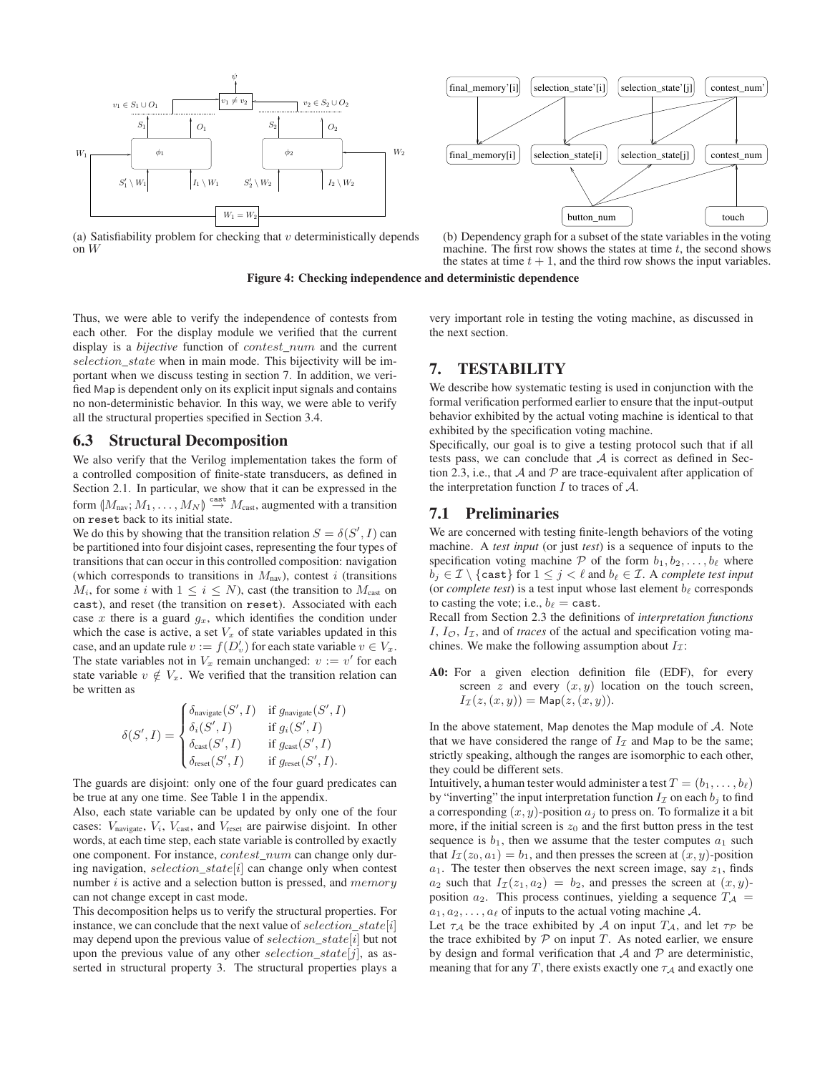

(a) Satisfiability problem for checking that  $v$  deterministically depends on W



(b) Dependency graph for a subset of the state variables in the voting machine. The first row shows the states at time  $t$ , the second shows the states at time  $t + 1$ , and the third row shows the input variables.

**Figure 4: Checking independence and deterministic dependence**

Thus, we were able to verify the independence of contests from each other. For the display module we verified that the current display is a *bijective* function of *contest* num and the current selection state when in main mode. This bijectivity will be important when we discuss testing in section 7. In addition, we verified Map is dependent only on its explicit input signals and contains no non-deterministic behavior. In this way, we were able to verify all the structural properties specified in Section 3.4.

#### **6.3 Structural Decomposition**

We also verify that the Verilog implementation takes the form of a controlled composition of finite-state transducers, as defined in Section 2.1. In particular, we show that it can be expressed in the form  $(M_{\text{nav}}; M_1, \ldots, M_N) \stackrel{\text{cast}}{\rightarrow} M_{\text{cast}}$ , augmented with a transition on reset back to its initial state.

We do this by showing that the transition relation  $S = \delta(S', I)$  can be partitioned into four disjoint cases, representing the four types of transitions that can occur in this controlled composition: navigation (which corresponds to transitions in  $M_{\text{nav}}$ ), contest i (transitions  $M_i$ , for some i with  $1 \leq i \leq N$ ), cast (the transition to  $M_{\text{cast}}$  on cast), and reset (the transition on reset). Associated with each case x there is a guard  $g_x$ , which identifies the condition under which the case is active, a set  $V_x$  of state variables updated in this case, and an update rule  $v := f(D'_v)$  for each state variable  $v \in V_x$ . The state variables not in  $V_x$  remain unchanged:  $v := v'$  for each state variable  $v \notin V_x$ . We verified that the transition relation can be written as

$$
\delta(S', I) = \begin{cases} \delta_{\text{navigate}}(S', I) & \text{if } g_{\text{navigate}}(S', I) \\ \delta_i(S', I) & \text{if } g_i(S', I) \\ \delta_{\text{cast}}(S', I) & \text{if } g_{\text{cast}}(S', I) \\ \delta_{\text{reset}}(S', I) & \text{if } g_{\text{reset}}(S', I). \end{cases}
$$

The guards are disjoint: only one of the four guard predicates can be true at any one time. See Table 1 in the appendix.

Also, each state variable can be updated by only one of the four cases:  $V_{\text{navigate}}$ ,  $V_i$ ,  $V_{\text{cast}}$ , and  $V_{\text{reset}}$  are pairwise disjoint. In other words, at each time step, each state variable is controlled by exactly one component. For instance, contest\_num can change only during navigation, selection\_state[i] can change only when contest number  $i$  is active and a selection button is pressed, and  $memory$ can not change except in cast mode.

This decomposition helps us to verify the structural properties. For instance, we can conclude that the next value of  $selection\_state[i]$ may depend upon the previous value of selection\_state[i] but not upon the previous value of any other  $selection\_state[j]$ , as asserted in structural property 3. The structural properties plays a

very important role in testing the voting machine, as discussed in the next section.

## **7. TESTABILITY**

We describe how systematic testing is used in conjunction with the formal verification performed earlier to ensure that the input-output behavior exhibited by the actual voting machine is identical to that exhibited by the specification voting machine.

Specifically, our goal is to give a testing protocol such that if all tests pass, we can conclude that  $A$  is correct as defined in Section 2.3, i.e., that  $A$  and  $P$  are trace-equivalent after application of the interpretation function  $I$  to traces of  $A$ .

## **7.1 Preliminaries**

We are concerned with testing finite-length behaviors of the voting machine. A *test input* (or just *test*) is a sequence of inputs to the specification voting machine P of the form  $b_1, b_2, \ldots, b_\ell$  where  $b_j \in \mathcal{I} \setminus \{\text{cast}\}\$  for  $1 \leq j < \ell$  and  $b_\ell \in \mathcal{I}$ . A *complete test input* (or *complete test*) is a test input whose last element  $b_{\ell}$  corresponds to casting the vote; i.e.,  $b_{\ell} = \text{cast.}$ 

Recall from Section 2.3 the definitions of *interpretation functions* I,  $I_{\mathcal{O}}$ ,  $I_{\mathcal{I}}$ , and of *traces* of the actual and specification voting machines. We make the following assumption about  $I_{\mathcal{I}}$ :

**A0:** For a given election definition file (EDF), for every screen z and every  $(x, y)$  location on the touch screen,  $I_{\mathcal{I}}(z,(x,y)) = \mathsf{Map}(z,(x,y)).$ 

In the above statement, Map denotes the Map module of  $A$ . Note that we have considered the range of  $I_{\mathcal{I}}$  and Map to be the same; strictly speaking, although the ranges are isomorphic to each other, they could be different sets.

Intuitively, a human tester would administer a test  $T = (b_1, \ldots, b_\ell)$ by "inverting" the input interpretation function  $I_{\mathcal{I}}$  on each  $b_i$  to find a corresponding  $(x, y)$ -position  $a_i$  to press on. To formalize it a bit more, if the initial screen is  $z_0$  and the first button press in the test sequence is  $b_1$ , then we assume that the tester computes  $a_1$  such that  $I_{\mathcal{I}}(z_0, a_1) = b_1$ , and then presses the screen at  $(x, y)$ -position  $a_1$ . The tester then observes the next screen image, say  $z_1$ , finds  $a_2$  such that  $I_{\mathcal{I}}(z_1, a_2) = b_2$ , and presses the screen at  $(x, y)$ position  $a_2$ . This process continues, yielding a sequence  $T_A$  =  $a_1, a_2, \ldots, a_\ell$  of inputs to the actual voting machine A.

Let  $\tau_A$  be the trace exhibited by A on input  $T_A$ , and let  $\tau_P$  be the trace exhibited by  $P$  on input  $T$ . As noted earlier, we ensure by design and formal verification that  $A$  and  $P$  are deterministic, meaning that for any T, there exists exactly one  $\tau_A$  and exactly one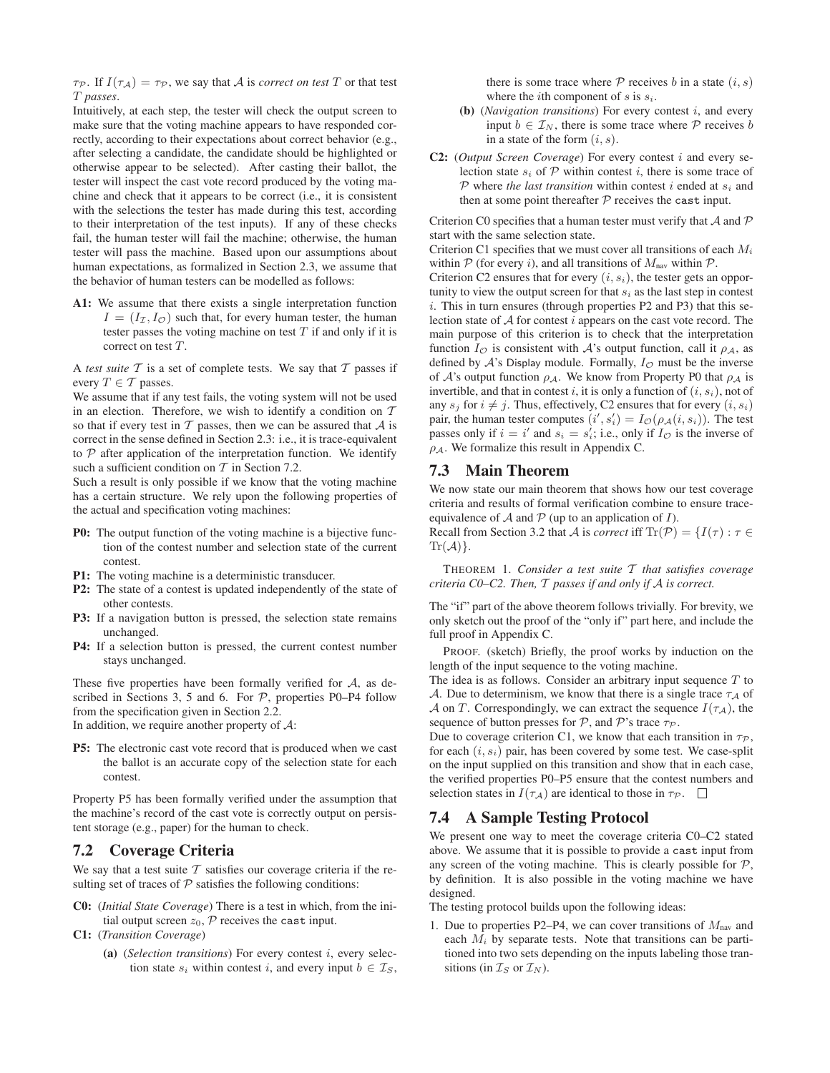$\tau_P$ . If  $I(\tau_A) = \tau_P$ , we say that A is *correct on test* T or that test T *passes*.

Intuitively, at each step, the tester will check the output screen to make sure that the voting machine appears to have responded correctly, according to their expectations about correct behavior (e.g., after selecting a candidate, the candidate should be highlighted or otherwise appear to be selected). After casting their ballot, the tester will inspect the cast vote record produced by the voting machine and check that it appears to be correct (i.e., it is consistent with the selections the tester has made during this test, according to their interpretation of the test inputs). If any of these checks fail, the human tester will fail the machine; otherwise, the human tester will pass the machine. Based upon our assumptions about human expectations, as formalized in Section 2.3, we assume that the behavior of human testers can be modelled as follows:

**A1:** We assume that there exists a single interpretation function  $I = (I_{\mathcal{I}}, I_{\mathcal{O}})$  such that, for every human tester, the human tester passes the voting machine on test  $T$  if and only if it is correct on test T.

A *test suite*  $T$  is a set of complete tests. We say that  $T$  passes if every  $T \in \mathcal{T}$  passes.

We assume that if any test fails, the voting system will not be used in an election. Therefore, we wish to identify a condition on  $T$ so that if every test in  $T$  passes, then we can be assured that  $A$  is correct in the sense defined in Section 2.3: i.e., it is trace-equivalent to  $P$  after application of the interpretation function. We identify such a sufficient condition on  $T$  in Section 7.2.

Such a result is only possible if we know that the voting machine has a certain structure. We rely upon the following properties of the actual and specification voting machines:

- **P0:** The output function of the voting machine is a bijective function of the contest number and selection state of the current contest.
- **P1:** The voting machine is a deterministic transducer.
- **P2:** The state of a contest is updated independently of the state of other contests.
- **P3:** If a navigation button is pressed, the selection state remains unchanged.
- **P4:** If a selection button is pressed, the current contest number stays unchanged.

These five properties have been formally verified for  $A$ , as described in Sections 3, 5 and 6. For  $P$ , properties P0–P4 follow from the specification given in Section 2.2.

In addition, we require another property of  $A$ :

**P5:** The electronic cast vote record that is produced when we cast the ballot is an accurate copy of the selection state for each contest.

Property P5 has been formally verified under the assumption that the machine's record of the cast vote is correctly output on persistent storage (e.g., paper) for the human to check.

#### **7.2 Coverage Criteria**

We say that a test suite  $T$  satisfies our coverage criteria if the resulting set of traces of  $P$  satisfies the following conditions:

- **C0:** (*Initial State Coverage*) There is a test in which, from the initial output screen  $z_0$ ,  $P$  receives the cast input.
- **C1:** (*Transition Coverage*)
	- **(a)** (*Selection transitions*) For every contest i, every selection state  $s_i$  within contest i, and every input  $b \in \mathcal{I}_S$ ,

there is some trace where  $P$  receives b in a state  $(i, s)$ where the *i*th component of *s* is  $s_i$ .

- **(b)** (*Navigation transitions*) For every contest i, and every input  $b \in \mathcal{I}_N$ , there is some trace where  $\mathcal P$  receives b in a state of the form  $(i, s)$ .
- **C2:** (*Output Screen Coverage*) For every contest i and every selection state  $s_i$  of  $P$  within contest i, there is some trace of  $P$  where *the last transition* within contest  $i$  ended at  $s_i$  and then at some point thereafter  $P$  receives the cast input.

Criterion C0 specifies that a human tester must verify that  $A$  and  $P$ start with the same selection state.

Criterion C1 specifies that we must cover all transitions of each  $M_i$ within  $P$  (for every *i*), and all transitions of  $M_{\text{nav}}$  within  $P$ .

Criterion C2 ensures that for every  $(i, s_i)$ , the tester gets an opportunity to view the output screen for that  $s_i$  as the last step in contest i. This in turn ensures (through properties P2 and P3) that this selection state of  $A$  for contest  $i$  appears on the cast vote record. The main purpose of this criterion is to check that the interpretation function  $I_{\mathcal{O}}$  is consistent with A's output function, call it  $\rho_{\mathcal{A}}$ , as defined by  $A$ 's Display module. Formally,  $I_{\mathcal{O}}$  must be the inverse of A's output function  $\rho_A$ . We know from Property P0 that  $\rho_A$  is invertible, and that in contest i, it is only a function of  $(i, s_i)$ , not of any  $s_j$  for  $i \neq j$ . Thus, effectively, C2 ensures that for every  $(i, s_i)$ pair, the human tester computes  $(i', s'_i) = I_{\mathcal{O}}(\rho_{\mathcal{A}}(i, s_i))$ . The test passes only if  $i = i'$  and  $s_i = s'_i$ ; i.e., only if  $I_{\mathcal{O}}$  is the inverse of  $\rho_A$ . We formalize this result in Appendix C.

## **7.3 Main Theorem**

We now state our main theorem that shows how our test coverage criteria and results of formal verification combine to ensure traceequivalence of  $A$  and  $P$  (up to an application of  $I$ ).

Recall from Section 3.2 that A is *correct* iff  $\text{Tr}(\mathcal{P}) = \{I(\tau) : \tau \in$  $\text{Tr}(\mathcal{A})$ .

THEOREM 1. *Consider a test suite* T *that satisfies coverage criteria C0–C2. Then,* T *passes if and only if* A *is correct.*

The "if" part of the above theorem follows trivially. For brevity, we only sketch out the proof of the "only if" part here, and include the full proof in Appendix C.

PROOF. (sketch) Briefly, the proof works by induction on the length of the input sequence to the voting machine.

The idea is as follows. Consider an arbitrary input sequence  $T$  to A. Due to determinism, we know that there is a single trace  $\tau_A$  of A on T. Correspondingly, we can extract the sequence  $I(\tau_A)$ , the sequence of button presses for  $P$ , and  $P$ 's trace  $\tau_P$ .

Due to coverage criterion C1, we know that each transition in  $\tau_{\mathcal{P}}$ , for each  $(i, s_i)$  pair, has been covered by some test. We case-split on the input supplied on this transition and show that in each case, the verified properties P0–P5 ensure that the contest numbers and selection states in  $I(\tau_{\mathcal{A}})$  are identical to those in  $\tau_{\mathcal{P}}$ .  $\Box$ 

## **7.4 A Sample Testing Protocol**

We present one way to meet the coverage criteria C0–C2 stated above. We assume that it is possible to provide a cast input from any screen of the voting machine. This is clearly possible for  $P$ , by definition. It is also possible in the voting machine we have designed.

The testing protocol builds upon the following ideas:

1. Due to properties P2–P4, we can cover transitions of  $M_{\text{nav}}$  and each  $M_i$  by separate tests. Note that transitions can be partitioned into two sets depending on the inputs labeling those transitions (in  $\mathcal{I}_S$  or  $\mathcal{I}_N$ ).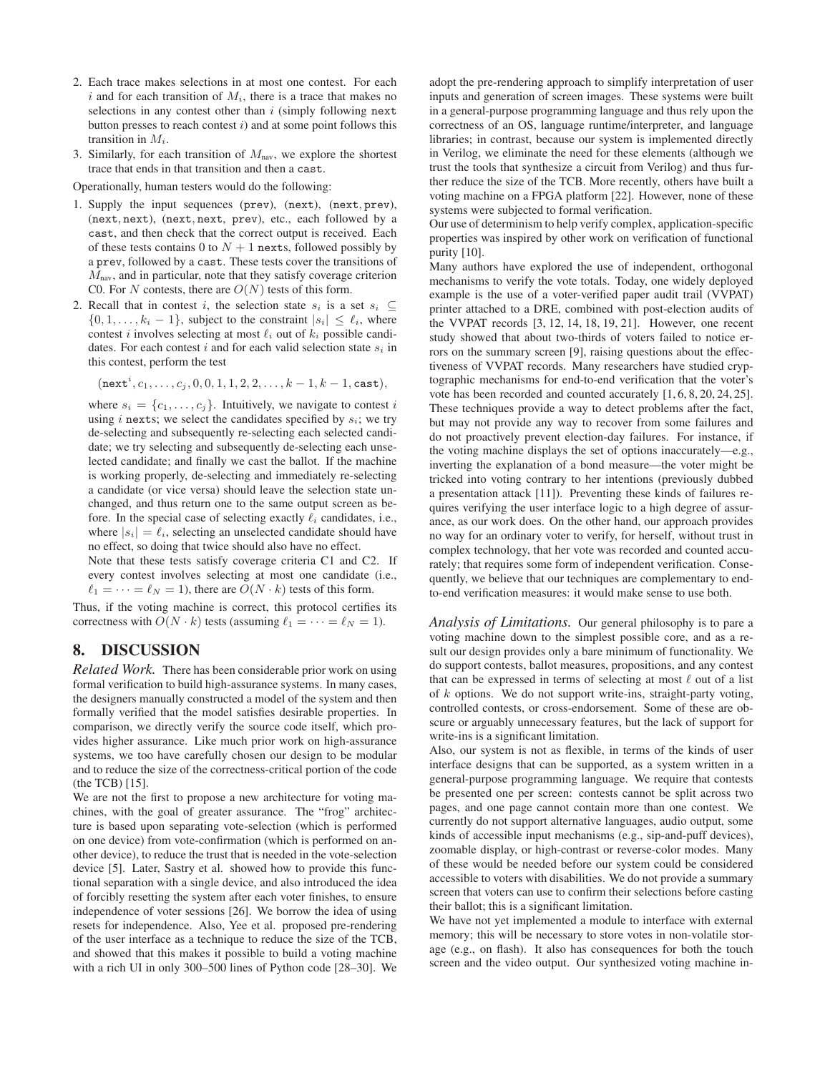- 2. Each trace makes selections in at most one contest. For each i and for each transition of  $M_i$ , there is a trace that makes no selections in any contest other than  $i$  (simply following next button presses to reach contest  $i$ ) and at some point follows this transition in  $M_i$ .
- 3. Similarly, for each transition of  $M_{\text{nav}}$ , we explore the shortest trace that ends in that transition and then a cast.

Operationally, human testers would do the following:

- 1. Supply the input sequences (prev), (next), (next, prev), (next, next), (next, next, prev), etc., each followed by a cast, and then check that the correct output is received. Each of these tests contains 0 to  $N + 1$  nexts, followed possibly by a prev, followed by a cast. These tests cover the transitions of  $M<sub>nav</sub>$ , and in particular, note that they satisfy coverage criterion C0. For N contests, there are  $O(N)$  tests of this form.
- 2. Recall that in contest i, the selection state  $s_i$  is a set  $s_i \subseteq$  $\{0, 1, \ldots, k_i - 1\}$ , subject to the constraint  $|s_i| \leq \ell_i$ , where contest *i* involves selecting at most  $\ell_i$  out of  $k_i$  possible candidates. For each contest i and for each valid selection state  $s_i$  in this contest, perform the test

 $(\texttt{next}^i, c_1, \ldots, c_j, 0, 0, 1, 1, 2, 2, \ldots, k-1, k-1, \textsf{cast}),$ 

where  $s_i = \{c_1, \ldots, c_j\}$ . Intuitively, we navigate to contest i using i nexts; we select the candidates specified by  $s_i$ ; we try de-selecting and subsequently re-selecting each selected candidate; we try selecting and subsequently de-selecting each unselected candidate; and finally we cast the ballot. If the machine is working properly, de-selecting and immediately re-selecting a candidate (or vice versa) should leave the selection state unchanged, and thus return one to the same output screen as before. In the special case of selecting exactly  $\ell_i$  candidates, i.e., where  $|s_i| = \ell_i$ , selecting an unselected candidate should have no effect, so doing that twice should also have no effect. Note that these tests satisfy coverage criteria C1 and C2. If

every contest involves selecting at most one candidate (i.e.,  $\ell_1 = \cdots = \ell_N = 1$ , there are  $O(N \cdot k)$  tests of this form.

Thus, if the voting machine is correct, this protocol certifies its correctness with  $O(N \cdot k)$  tests (assuming  $\ell_1 = \cdots = \ell_N = 1$ ).

## **8. DISCUSSION**

*Related Work.* There has been considerable prior work on using formal verification to build high-assurance systems. In many cases, the designers manually constructed a model of the system and then formally verified that the model satisfies desirable properties. In comparison, we directly verify the source code itself, which provides higher assurance. Like much prior work on high-assurance systems, we too have carefully chosen our design to be modular and to reduce the size of the correctness-critical portion of the code (the TCB) [15].

We are not the first to propose a new architecture for voting machines, with the goal of greater assurance. The "frog" architecture is based upon separating vote-selection (which is performed on one device) from vote-confirmation (which is performed on another device), to reduce the trust that is needed in the vote-selection device [5]. Later, Sastry et al. showed how to provide this functional separation with a single device, and also introduced the idea of forcibly resetting the system after each voter finishes, to ensure independence of voter sessions [26]. We borrow the idea of using resets for independence. Also, Yee et al. proposed pre-rendering of the user interface as a technique to reduce the size of the TCB, and showed that this makes it possible to build a voting machine with a rich UI in only 300–500 lines of Python code [28–30]. We

adopt the pre-rendering approach to simplify interpretation of user inputs and generation of screen images. These systems were built in a general-purpose programming language and thus rely upon the correctness of an OS, language runtime/interpreter, and language libraries; in contrast, because our system is implemented directly in Verilog, we eliminate the need for these elements (although we trust the tools that synthesize a circuit from Verilog) and thus further reduce the size of the TCB. More recently, others have built a voting machine on a FPGA platform [22]. However, none of these systems were subjected to formal verification.

Our use of determinism to help verify complex, application-specific properties was inspired by other work on verification of functional purity [10].

Many authors have explored the use of independent, orthogonal mechanisms to verify the vote totals. Today, one widely deployed example is the use of a voter-verified paper audit trail (VVPAT) printer attached to a DRE, combined with post-election audits of the VVPAT records [3, 12, 14, 18, 19, 21]. However, one recent study showed that about two-thirds of voters failed to notice errors on the summary screen [9], raising questions about the effectiveness of VVPAT records. Many researchers have studied cryptographic mechanisms for end-to-end verification that the voter's vote has been recorded and counted accurately [1, 6, 8, 20, 24, 25]. These techniques provide a way to detect problems after the fact, but may not provide any way to recover from some failures and do not proactively prevent election-day failures. For instance, if the voting machine displays the set of options inaccurately—e.g., inverting the explanation of a bond measure—the voter might be tricked into voting contrary to her intentions (previously dubbed a presentation attack [11]). Preventing these kinds of failures requires verifying the user interface logic to a high degree of assurance, as our work does. On the other hand, our approach provides no way for an ordinary voter to verify, for herself, without trust in complex technology, that her vote was recorded and counted accurately; that requires some form of independent verification. Consequently, we believe that our techniques are complementary to endto-end verification measures: it would make sense to use both.

*Analysis of Limitations.* Our general philosophy is to pare a voting machine down to the simplest possible core, and as a result our design provides only a bare minimum of functionality. We do support contests, ballot measures, propositions, and any contest that can be expressed in terms of selecting at most  $\ell$  out of a list of  $k$  options. We do not support write-ins, straight-party voting, controlled contests, or cross-endorsement. Some of these are obscure or arguably unnecessary features, but the lack of support for write-ins is a significant limitation.

Also, our system is not as flexible, in terms of the kinds of user interface designs that can be supported, as a system written in a general-purpose programming language. We require that contests be presented one per screen: contests cannot be split across two pages, and one page cannot contain more than one contest. We currently do not support alternative languages, audio output, some kinds of accessible input mechanisms (e.g., sip-and-puff devices), zoomable display, or high-contrast or reverse-color modes. Many of these would be needed before our system could be considered accessible to voters with disabilities. We do not provide a summary screen that voters can use to confirm their selections before casting their ballot; this is a significant limitation.

We have not yet implemented a module to interface with external memory; this will be necessary to store votes in non-volatile storage (e.g., on flash). It also has consequences for both the touch screen and the video output. Our synthesized voting machine in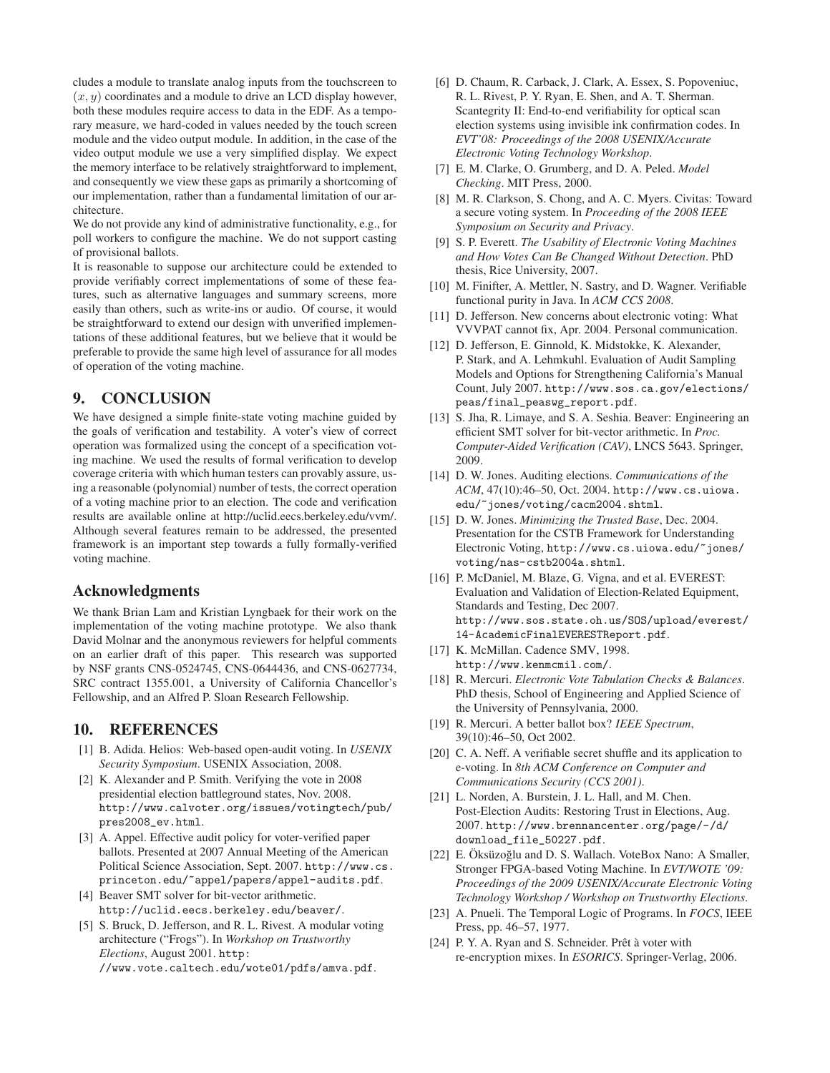cludes a module to translate analog inputs from the touchscreen to  $(x, y)$  coordinates and a module to drive an LCD display however, both these modules require access to data in the EDF. As a temporary measure, we hard-coded in values needed by the touch screen module and the video output module. In addition, in the case of the video output module we use a very simplified display. We expect the memory interface to be relatively straightforward to implement, and consequently we view these gaps as primarily a shortcoming of our implementation, rather than a fundamental limitation of our architecture.

We do not provide any kind of administrative functionality, e.g., for poll workers to configure the machine. We do not support casting of provisional ballots.

It is reasonable to suppose our architecture could be extended to provide verifiably correct implementations of some of these features, such as alternative languages and summary screens, more easily than others, such as write-ins or audio. Of course, it would be straightforward to extend our design with unverified implementations of these additional features, but we believe that it would be preferable to provide the same high level of assurance for all modes of operation of the voting machine.

## **9. CONCLUSION**

We have designed a simple finite-state voting machine guided by the goals of verification and testability. A voter's view of correct operation was formalized using the concept of a specification voting machine. We used the results of formal verification to develop coverage criteria with which human testers can provably assure, using a reasonable (polynomial) number of tests, the correct operation of a voting machine prior to an election. The code and verification results are available online at http://uclid.eecs.berkeley.edu/vvm/. Although several features remain to be addressed, the presented framework is an important step towards a fully formally-verified voting machine.

## **Acknowledgments**

We thank Brian Lam and Kristian Lyngbaek for their work on the implementation of the voting machine prototype. We also thank David Molnar and the anonymous reviewers for helpful comments on an earlier draft of this paper. This research was supported by NSF grants CNS-0524745, CNS-0644436, and CNS-0627734, SRC contract 1355.001, a University of California Chancellor's Fellowship, and an Alfred P. Sloan Research Fellowship.

## **10. REFERENCES**

- [1] B. Adida. Helios: Web-based open-audit voting. In *USENIX Security Symposium*. USENIX Association, 2008.
- [2] K. Alexander and P. Smith. Verifying the vote in 2008 presidential election battleground states, Nov. 2008. http://www.calvoter.org/issues/votingtech/pub/ pres2008\_ev.html.
- [3] A. Appel. Effective audit policy for voter-verified paper ballots. Presented at 2007 Annual Meeting of the American Political Science Association, Sept. 2007. http://www.cs. princeton.edu/~appel/papers/appel-audits.pdf.
- [4] Beaver SMT solver for bit-vector arithmetic. http://uclid.eecs.berkeley.edu/beaver/.
- [5] S. Bruck, D. Jefferson, and R. L. Rivest. A modular voting architecture ("Frogs"). In *Workshop on Trustworthy Elections*, August 2001. http: //www.vote.caltech.edu/wote01/pdfs/amva.pdf.
- [6] D. Chaum, R. Carback, J. Clark, A. Essex, S. Popoveniuc, R. L. Rivest, P. Y. Ryan, E. Shen, and A. T. Sherman. Scantegrity II: End-to-end verifiability for optical scan election systems using invisible ink confirmation codes. In *EVT'08: Proceedings of the 2008 USENIX/Accurate Electronic Voting Technology Workshop*.
- [7] E. M. Clarke, O. Grumberg, and D. A. Peled. *Model Checking*. MIT Press, 2000.
- [8] M. R. Clarkson, S. Chong, and A. C. Myers. Civitas: Toward a secure voting system. In *Proceeding of the 2008 IEEE Symposium on Security and Privacy*.
- [9] S. P. Everett. *The Usability of Electronic Voting Machines and How Votes Can Be Changed Without Detection*. PhD thesis, Rice University, 2007.
- [10] M. Finifter, A. Mettler, N. Sastry, and D. Wagner. Verifiable functional purity in Java. In *ACM CCS 2008*.
- [11] D. Jefferson. New concerns about electronic voting: What VVVPAT cannot fix, Apr. 2004. Personal communication.
- [12] D. Jefferson, E. Ginnold, K. Midstokke, K. Alexander, P. Stark, and A. Lehmkuhl. Evaluation of Audit Sampling Models and Options for Strengthening California's Manual Count, July 2007. http://www.sos.ca.gov/elections/ peas/final\_peaswg\_report.pdf.
- [13] S. Jha, R. Limaye, and S. A. Seshia. Beaver: Engineering an efficient SMT solver for bit-vector arithmetic. In *Proc. Computer-Aided Verification (CAV)*, LNCS 5643. Springer, 2009.
- [14] D. W. Jones. Auditing elections. *Communications of the ACM*, 47(10):46–50, Oct. 2004. http://www.cs.uiowa. edu/~jones/voting/cacm2004.shtml.
- [15] D. W. Jones. *Minimizing the Trusted Base*, Dec. 2004. Presentation for the CSTB Framework for Understanding Electronic Voting, http://www.cs.uiowa.edu/~jones/ voting/nas-cstb2004a.shtml.
- [16] P. McDaniel, M. Blaze, G. Vigna, and et al. EVEREST: Evaluation and Validation of Election-Related Equipment, Standards and Testing, Dec 2007. http://www.sos.state.oh.us/SOS/upload/everest/ 14-AcademicFinalEVERESTReport.pdf.
- [17] K. McMillan. Cadence SMV, 1998. http://www.kenmcmil.com/.
- [18] R. Mercuri. *Electronic Vote Tabulation Checks & Balances*. PhD thesis, School of Engineering and Applied Science of the University of Pennsylvania, 2000.
- [19] R. Mercuri. A better ballot box? *IEEE Spectrum*, 39(10):46–50, Oct 2002.
- [20] C. A. Neff. A verifiable secret shuffle and its application to e-voting. In *8th ACM Conference on Computer and Communications Security (CCS 2001)*.
- [21] L. Norden, A. Burstein, J. L. Hall, and M. Chen. Post-Election Audits: Restoring Trust in Elections, Aug. 2007. http://www.brennancenter.org/page/-/d/ download\_file\_50227.pdf.
- [22] E. Öksüzoğlu and D. S. Wallach. VoteBox Nano: A Smaller, Stronger FPGA-based Voting Machine. In *EVT/WOTE '09: Proceedings of the 2009 USENIX/Accurate Electronic Voting Technology Workshop / Workshop on Trustworthy Elections*.
- [23] A. Pnueli. The Temporal Logic of Programs. In *FOCS*, IEEE Press, pp. 46–57, 1977.
- [24] P. Y. A. Ryan and S. Schneider. Prêt à voter with re-encryption mixes. In *ESORICS*. Springer-Verlag, 2006.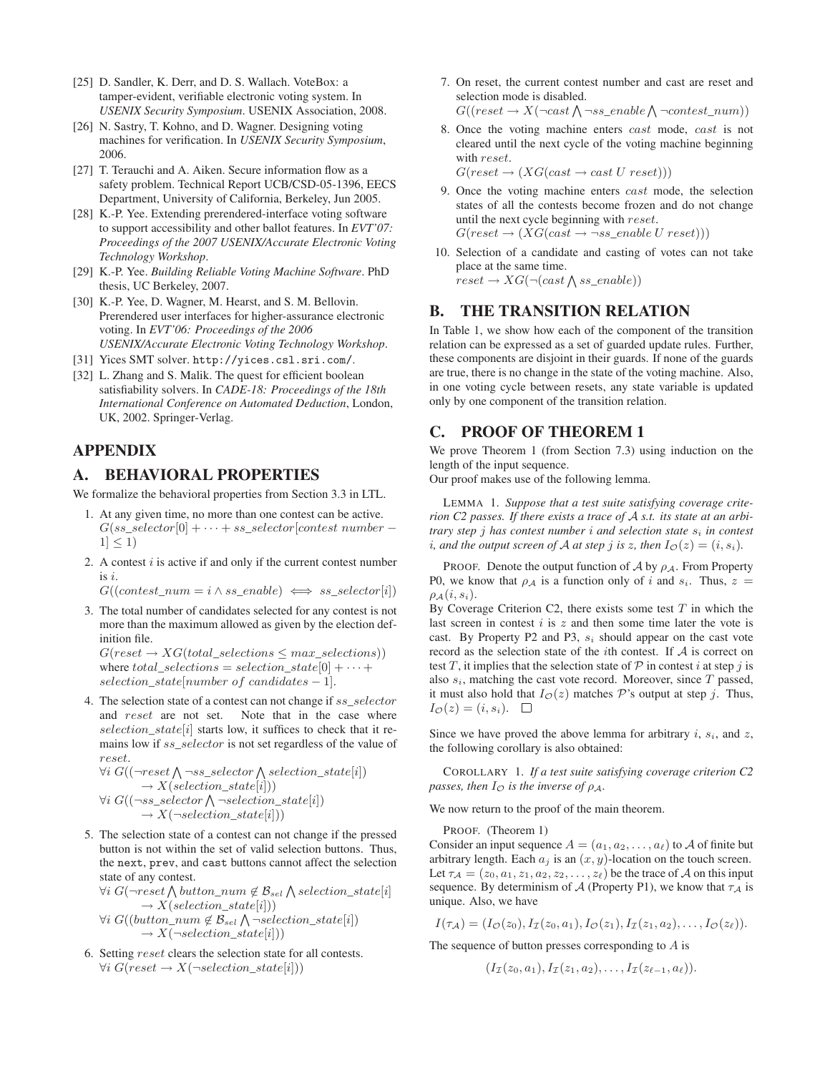- [25] D. Sandler, K. Derr, and D. S. Wallach. VoteBox: a tamper-evident, verifiable electronic voting system. In *USENIX Security Symposium*. USENIX Association, 2008.
- [26] N. Sastry, T. Kohno, and D. Wagner. Designing voting machines for verification. In *USENIX Security Symposium*, 2006.
- [27] T. Terauchi and A. Aiken. Secure information flow as a safety problem. Technical Report UCB/CSD-05-1396, EECS Department, University of California, Berkeley, Jun 2005.
- [28] K.-P. Yee. Extending prerendered-interface voting software to support accessibility and other ballot features. In *EVT'07: Proceedings of the 2007 USENIX/Accurate Electronic Voting Technology Workshop*.
- [29] K.-P. Yee. *Building Reliable Voting Machine Software*. PhD thesis, UC Berkeley, 2007.
- [30] K.-P. Yee, D. Wagner, M. Hearst, and S. M. Bellovin. Prerendered user interfaces for higher-assurance electronic voting. In *EVT'06: Proceedings of the 2006 USENIX/Accurate Electronic Voting Technology Workshop*.
- [31] Yices SMT solver. http://yices.csl.sri.com/.
- [32] L. Zhang and S. Malik. The quest for efficient boolean satisfiability solvers. In *CADE-18: Proceedings of the 18th International Conference on Automated Deduction*, London, UK, 2002. Springer-Verlag.

## **APPENDIX**

## **A. BEHAVIORAL PROPERTIES**

We formalize the behavioral properties from Section 3.3 in LTL.

- 1. At any given time, no more than one contest can be active.  $G(ss\_selector[0] + \cdots + ss\_selector[context\ number 1 \leq 1$
- 2. A contest  $i$  is active if and only if the current contest number is i.

 $G((context\_num = i \land ss\_enable) \iff ss\_selector[i])$ 

3. The total number of candidates selected for any contest is not more than the maximum allowed as given by the election definition file.

 $G(reset \to XG(total\_selections \leq max\_selections))$ where  $total\_selection_s = selection\_state[0] + \cdots +$  $selection\_state[number\ of\ candidates -1].$ 

4. The selection state of a contest can not change if ss\_selector and reset are not set. Note that in the case where  $selection\_state[i]$  starts low, it suffices to check that it remains low if  $ss\_selector$  is not set regardless of the value of reset.

$$
\begin{array}{l}\forall i\ G((\neg reset \bigwedge \neg ss\_selector \bigwedge selection\_state[i]) )\\ \quad\rightarrow X(selection\_state[i]))\\ \forall i\ G((\neg ss\_selector \bigwedge \neg selection\_state[i]) )\\ \quad\rightarrow X(\neg selection\_state[i]))\end{array}
$$

5. The selection state of a contest can not change if the pressed button is not within the set of valid selection buttons. Thus, the next, prev, and cast buttons cannot affect the selection state of any contest.

$$
\forall i \ G(\neg reset \land button\_num \notin \mathcal{B}_{sel} \land selection\_state[i]) \n\rightarrow X(\text{selection\_state}[i])) \n\forall i \ G((button\_num \notin \mathcal{B}_{sel} \land \neg selection\_state[i]) \n\rightarrow X(\neg selection\_state[i]))
$$

6. Setting reset clears the selection state for all contests.  $\forall i \ G(reset \rightarrow X(\neg selection\_state[i]))$ 

7. On reset, the current contest number and cast are reset and selection mode is disabled.

 $G((reset \rightarrow X(\neg cast \land \neg ss\_enable \land \neg contest\_num))$ 

- 8. Once the voting machine enters cast mode, cast is not cleared until the next cycle of the voting machine beginning with reset.  $G(reset \to (XG(cast \to cast U reset)))$
- 9. Once the voting machine enters cast mode, the selection states of all the contests become frozen and do not change until the next cycle beginning with reset.  $G(reset \to (XG(cast \to \neg ss\_enable \, U \, reset)))$
- 10. Selection of a candidate and casting of votes can not take place at the same time.

 $reset \rightarrow XG(\neg (cast \land ss\_enable))$ 

## **B. THE TRANSITION RELATION**

In Table 1, we show how each of the component of the transition relation can be expressed as a set of guarded update rules. Further, these components are disjoint in their guards. If none of the guards are true, there is no change in the state of the voting machine. Also, in one voting cycle between resets, any state variable is updated only by one component of the transition relation.

## **C. PROOF OF THEOREM 1**

We prove Theorem 1 (from Section 7.3) using induction on the length of the input sequence.

Our proof makes use of the following lemma.

LEMMA 1. *Suppose that a test suite satisfying coverage criterion C2 passes. If there exists a trace of* A *s.t. its state at an arbitrary step j has contest number i and selection state*  $s_i$  *in contest i*, and the output screen of A at step *j* is *z*, then  $I_{\mathcal{O}}(z) = (i, s_i)$ .

PROOF. Denote the output function of  $A$  by  $\rho_A$ . From Property P0, we know that  $\rho_A$  is a function only of i and  $s_i$ . Thus,  $z =$  $\rho_{\mathcal{A}}(i, s_i)$ .

By Coverage Criterion C2, there exists some test  $T$  in which the last screen in contest  $i$  is  $z$  and then some time later the vote is cast. By Property P2 and P3,  $s_i$  should appear on the cast vote record as the selection state of the *i*th contest. If  $A$  is correct on test T, it implies that the selection state of  $P$  in contest i at step j is also  $s_i$ , matching the cast vote record. Moreover, since  $T$  passed, it must also hold that  $I_{\mathcal{O}}(z)$  matches  $\mathcal{P}$ 's output at step j. Thus,  $I_{\mathcal{O}}(z) = (i, s_i). \quad \Box$ 

Since we have proved the above lemma for arbitrary i,  $s_i$ , and z, the following corollary is also obtained:

COROLLARY 1. *If a test suite satisfying coverage criterion C2 passes, then*  $I_{\mathcal{O}}$  *is the inverse of*  $\rho_{\mathcal{A}}$ *.* 

We now return to the proof of the main theorem.

PROOF. (Theorem 1)

Consider an input sequence  $A = (a_1, a_2, \dots, a_\ell)$  to A of finite but arbitrary length. Each  $a_i$  is an  $(x, y)$ -location on the touch screen. Let  $\tau_A = (z_0, a_1, z_1, a_2, z_2, \dots, z_\ell)$  be the trace of A on this input sequence. By determinism of A (Property P1), we know that  $\tau_A$  is unique. Also, we have

$$
I(\tau_{\mathcal{A}})=(I_{\mathcal{O}}(z_0),I_{\mathcal{I}}(z_0,a_1),I_{\mathcal{O}}(z_1),I_{\mathcal{I}}(z_1,a_2),\ldots,I_{\mathcal{O}}(z_{\ell})).
$$

The sequence of button presses corresponding to  $A$  is

 $(I_{\mathcal{I}}(z_0, a_1), I_{\mathcal{I}}(z_1, a_2), \ldots, I_{\mathcal{I}}(z_{\ell-1}, a_{\ell})).$